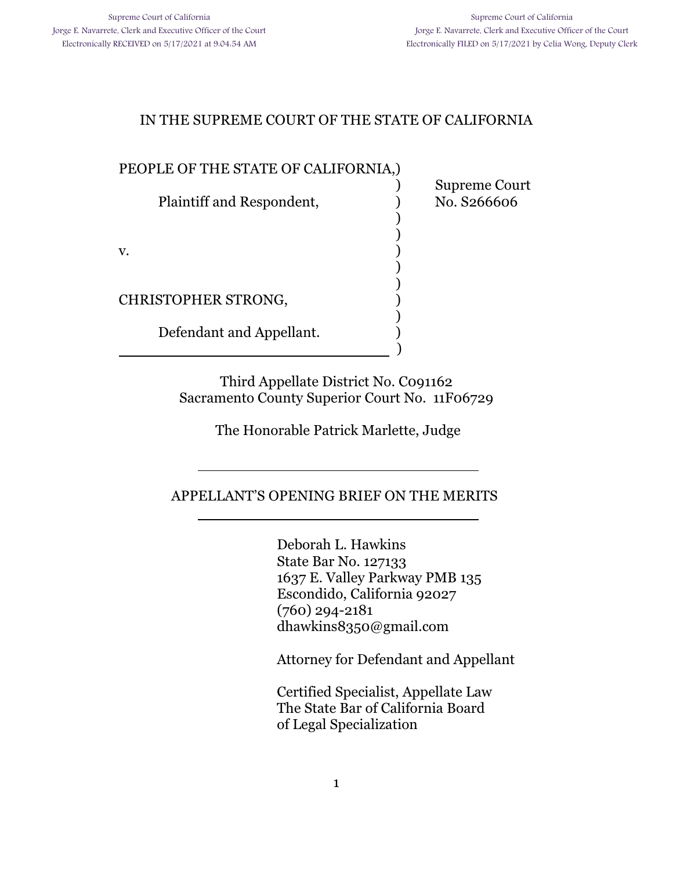) Supreme Court

) )

) )

)

### IN THE SUPREME COURT OF THE STATE OF CALIFORNIA

#### PEOPLE OF THE STATE OF CALIFORNIA,)

Plaintiff and Respondent,  $\qquad \qquad$  No. S266606

 $\mathbf v.$  )

CHRISTOPHER STRONG, )

l

l

Defendant and Appellant.

) and the contract of  $\overline{\phantom{a}}$  (  $\overline{\phantom{a}}$  )

Third Appellate District No. C091162 Sacramento County Superior Court No. 11F06729

The Honorable Patrick Marlette, Judge

APPELLANT'S OPENING BRIEF ON THE MERITS

Deborah L. Hawkins State Bar No. 127133 1637 E. Valley Parkway PMB 135 Escondido, California 92027 (760) 294-2181 dhawkins8350@gmail.com

Attorney for Defendant and Appellant

Certified Specialist, Appellate Law The State Bar of California Board of Legal Specialization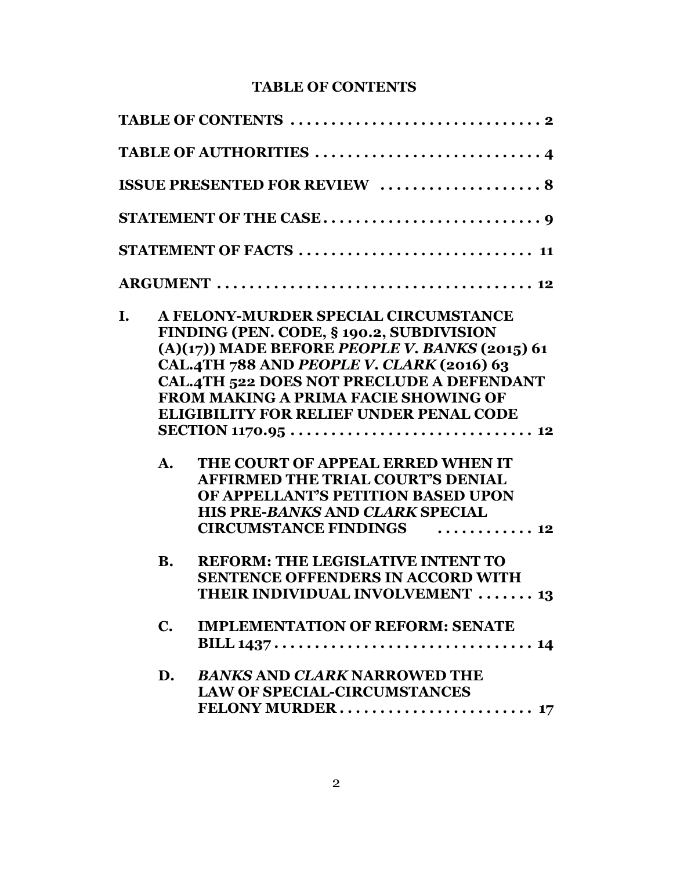## **TABLE OF CONTENTS**

|    |                | <b>ISSUE PRESENTED FOR REVIEW  8</b>                                                                                                                                                                                                                                                                                                                                                                                                                                                                                           |
|----|----------------|--------------------------------------------------------------------------------------------------------------------------------------------------------------------------------------------------------------------------------------------------------------------------------------------------------------------------------------------------------------------------------------------------------------------------------------------------------------------------------------------------------------------------------|
|    |                |                                                                                                                                                                                                                                                                                                                                                                                                                                                                                                                                |
|    |                | STATEMENT OF FACTS  11                                                                                                                                                                                                                                                                                                                                                                                                                                                                                                         |
|    |                |                                                                                                                                                                                                                                                                                                                                                                                                                                                                                                                                |
| I. | A.             | A FELONY-MURDER SPECIAL CIRCUMSTANCE<br>FINDING (PEN. CODE, § 190.2, SUBDIVISION<br>$(A)(17)$ ) MADE BEFORE PEOPLE V. BANKS (2015) 61<br>CAL.4TH 788 AND PEOPLE V. CLARK (2016) 63<br><b>CAL.4TH 522 DOES NOT PRECLUDE A DEFENDANT</b><br><b>FROM MAKING A PRIMA FACIE SHOWING OF</b><br><b>ELIGIBILITY FOR RELIEF UNDER PENAL CODE</b><br>THE COURT OF APPEAL ERRED WHEN IT<br><b>AFFIRMED THE TRIAL COURT'S DENIAL</b><br>OF APPELLANT'S PETITION BASED UPON<br>HIS PRE-BANKS AND CLARK SPECIAL<br>CIRCUMSTANCE FINDINGS  12 |
|    | <b>B.</b>      | <b>REFORM: THE LEGISLATIVE INTENT TO</b><br><b>SENTENCE OFFENDERS IN ACCORD WITH</b><br><b>THEIR INDIVIDUAL INVOLVEMENT</b> 13                                                                                                                                                                                                                                                                                                                                                                                                 |
|    | $\mathbf{C}$ . | <b>IMPLEMENTATION OF REFORM: SENATE</b>                                                                                                                                                                                                                                                                                                                                                                                                                                                                                        |
|    | D.             | <b>BANKS AND CLARK NARROWED THE</b><br><b>LAW OF SPECIAL-CIRCUMSTANCES</b>                                                                                                                                                                                                                                                                                                                                                                                                                                                     |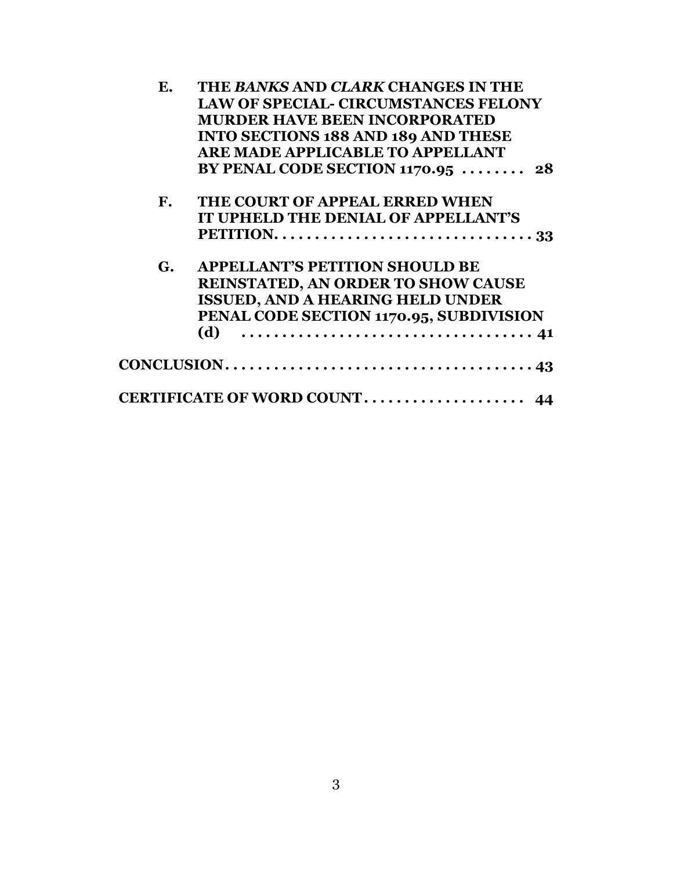| Ε.                     | THE BANKS AND CLARK CHANGES IN THE                                                       |
|------------------------|------------------------------------------------------------------------------------------|
|                        | <b>LAW OF SPECIAL- CIRCUMSTANCES FELONY</b>                                              |
|                        | <b>MURDER HAVE BEEN INCORPORATED</b>                                                     |
|                        | <b>INTO SECTIONS 188 AND 189 AND THESE</b>                                               |
|                        | <b>ARE MADE APPLICABLE TO APPELLANT</b>                                                  |
|                        | BY PENAL CODE SECTION $1170.95$ 28                                                       |
| $\mathbf{F}_{\bullet}$ | THE COURT OF APPEAL ERRED WHEN                                                           |
|                        | IT UPHELD THE DENIAL OF APPELLANT'S                                                      |
|                        | PETITION. $\ldots \ldots \ldots \ldots \ldots \ldots \ldots \ldots \ldots \ldots \ldots$ |
| G.                     | <b>APPELLANT'S PETITION SHOULD BE</b>                                                    |
|                        | <b>REINSTATED, AN ORDER TO SHOW CAUSE</b>                                                |
|                        | <b>ISSUED, AND A HEARING HELD UNDER</b>                                                  |
|                        | PENAL CODE SECTION 1170.95, SUBDIVISION                                                  |
|                        | (d)                                                                                      |
|                        |                                                                                          |
|                        |                                                                                          |
|                        | CERTIFICATE OF WORD COUNT 44                                                             |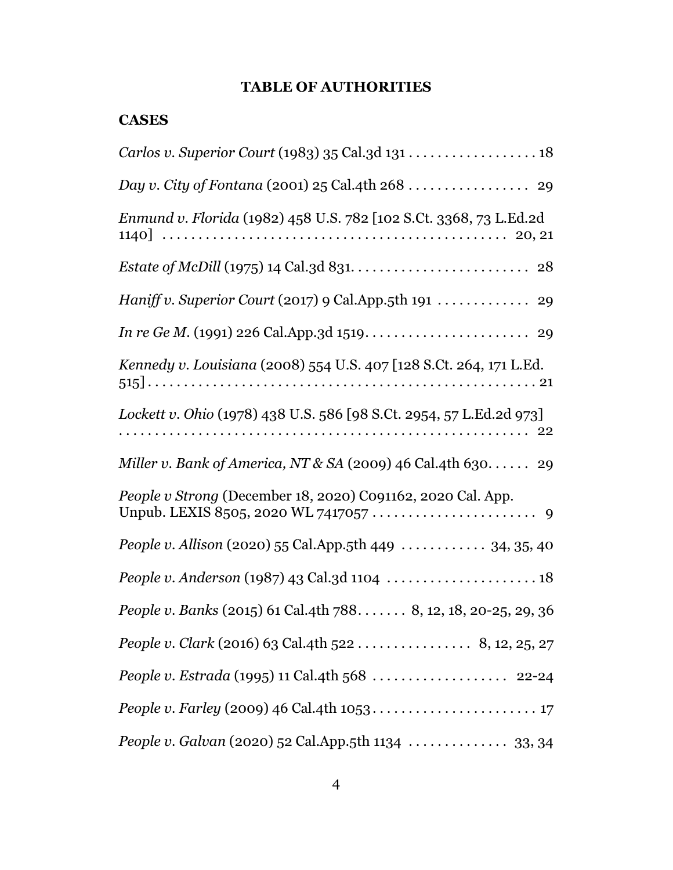## **TABLE OF AUTHORITIES**

### **CASES**

| Day v. City of Fontana (2001) 25 Cal.4th 268  29                       |
|------------------------------------------------------------------------|
| Enmund v. Florida (1982) 458 U.S. 782 [102 S.Ct. 3368, 73 L.Ed.2d      |
|                                                                        |
|                                                                        |
|                                                                        |
| Kennedy v. Louisiana (2008) 554 U.S. 407 [128 S.Ct. 264, 171 L.Ed.     |
| Lockett v. Ohio (1978) 438 U.S. 586 [98 S.Ct. 2954, 57 L.Ed.2d 973]    |
| Miller v. Bank of America, NT & SA (2009) 46 Cal.4th 630 29            |
| People v Strong (December 18, 2020) C091162, 2020 Cal. App.            |
| <i>People v. Allison</i> (2020) 55 Cal.App.5th 449 $\ldots$ 34, 35, 40 |
| People v. Anderson (1987) 43 Cal.3d 1104  18                           |
| People v. Banks (2015) 61 Cal.4th 788 8, 12, 18, 20-25, 29, 36         |
| People v. Clark (2016) 63 Cal.4th 522 8, 12, 25, 27                    |
| People v. Estrada (1995) 11 Cal.4th 568  22-24                         |
|                                                                        |
|                                                                        |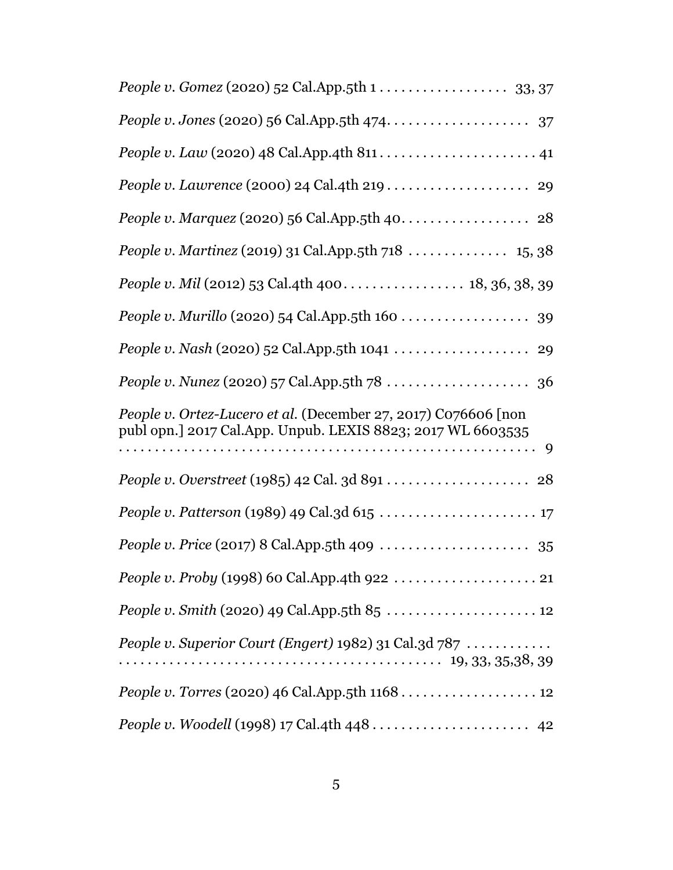| People v. Martinez (2019) 31 Cal.App.5th 718  15, 38                                                                          |
|-------------------------------------------------------------------------------------------------------------------------------|
|                                                                                                                               |
| People v. Murillo (2020) 54 Cal.App.5th 160 39                                                                                |
|                                                                                                                               |
|                                                                                                                               |
| People v. Ortez-Lucero et al. (December 27, 2017) C076606 [non<br>publ opn.] 2017 Cal.App. Unpub. LEXIS 8823; 2017 WL 6603535 |
|                                                                                                                               |
|                                                                                                                               |
|                                                                                                                               |
|                                                                                                                               |
| People v. Smith (2020) 49 Cal.App.5th 85  12                                                                                  |
| People v. Superior Court (Engert) 1982) 31 Cal.3d 787                                                                         |
| People v. Torres (2020) 46 Cal.App.5th 1168 12                                                                                |
|                                                                                                                               |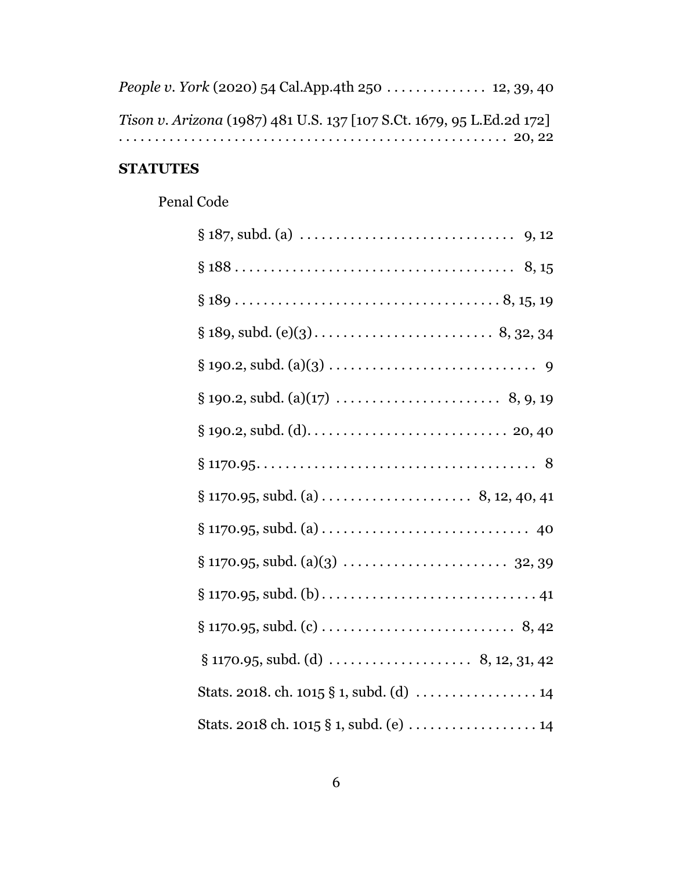| People v. York (2020) 54 Cal.App.4th 250 12, 39, 40                   |  |
|-----------------------------------------------------------------------|--|
| Tison v. Arizona (1987) 481 U.S. 137 [107 S.Ct. 1679, 95 L.Ed.2d 172] |  |
|                                                                       |  |

# **STATUTES**

# Penal Code

| Stats. 2018. ch. 1015 § 1, subd. (d)  14  |
|-------------------------------------------|
| Stats. 2018 ch. 1015 $\S$ 1, subd. (e) 14 |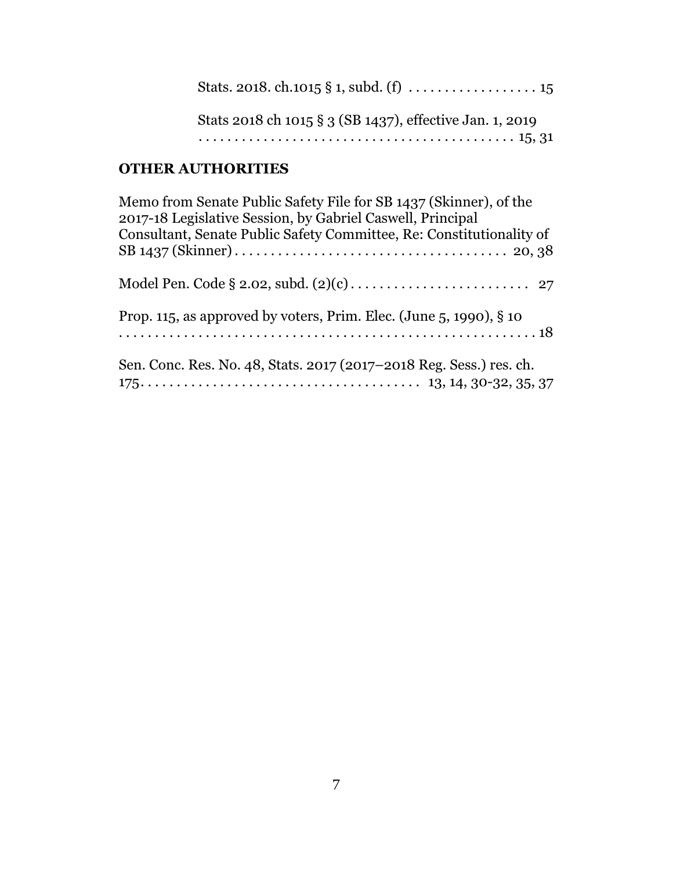| Stats 2018 ch 1015 § 3 (SB 1437), effective Jan. 1, 2019 |
|----------------------------------------------------------|
|                                                          |

# **OTHER AUTHORITIES**

| Memo from Senate Public Safety File for SB 1437 (Skinner), of the<br>2017-18 Legislative Session, by Gabriel Caswell, Principal<br>Consultant, Senate Public Safety Committee, Re: Constitutionality of |
|---------------------------------------------------------------------------------------------------------------------------------------------------------------------------------------------------------|
|                                                                                                                                                                                                         |
| Prop. 115, as approved by voters, Prim. Elec. (June 5, 1990), $\S$ 10                                                                                                                                   |
| Sen. Conc. Res. No. 48, Stats. 2017 (2017–2018 Reg. Sess.) res. ch.                                                                                                                                     |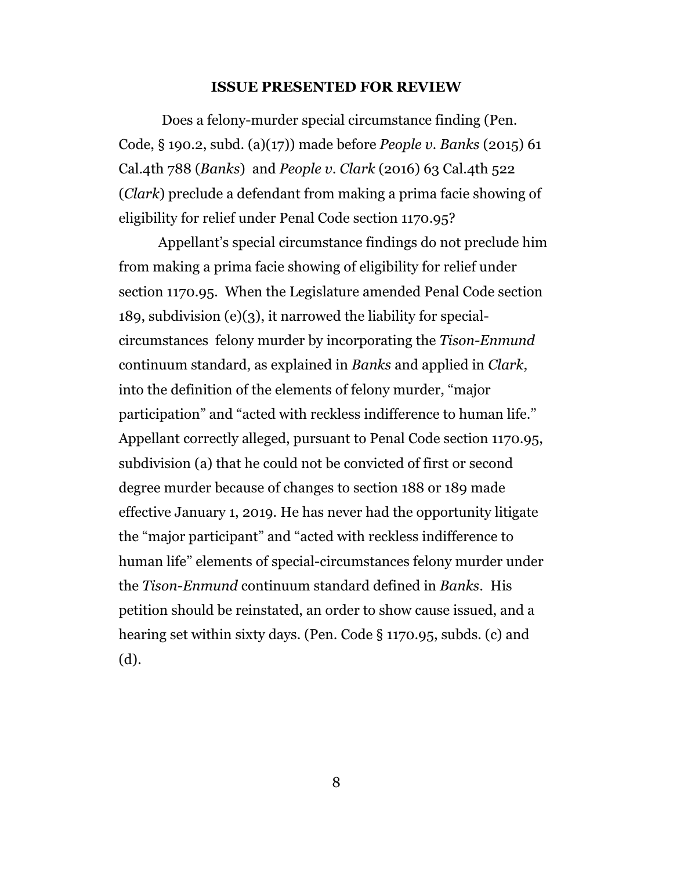#### **ISSUE PRESENTED FOR REVIEW**

 Does a felony-murder special circumstance finding (Pen. Code, § 190.2, subd. (a)(17)) made before *People v. Banks* (2015) 61 Cal.4th 788 (*Banks*) and *People v. Clark* (2016) 63 Cal.4th 522 (*Clark*) preclude a defendant from making a prima facie showing of eligibility for relief under Penal Code section 1170.95?

Appellant's special circumstance findings do not preclude him from making a prima facie showing of eligibility for relief under section 1170.95. When the Legislature amended Penal Code section 189, subdivision (e)(3), it narrowed the liability for specialcircumstances felony murder by incorporating the *Tison-Enmund* continuum standard, as explained in *Banks* and applied in *Clark*, into the definition of the elements of felony murder, "major participation" and "acted with reckless indifference to human life." Appellant correctly alleged, pursuant to Penal Code section 1170.95, subdivision (a) that he could not be convicted of first or second degree murder because of changes to section 188 or 189 made effective January 1, 2019. He has never had the opportunity litigate the "major participant" and "acted with reckless indifference to human life" elements of special-circumstances felony murder under the *Tison-Enmund* continuum standard defined in *Banks.* His petition should be reinstated, an order to show cause issued, and a hearing set within sixty days. (Pen. Code § 1170.95, subds. (c) and (d).

8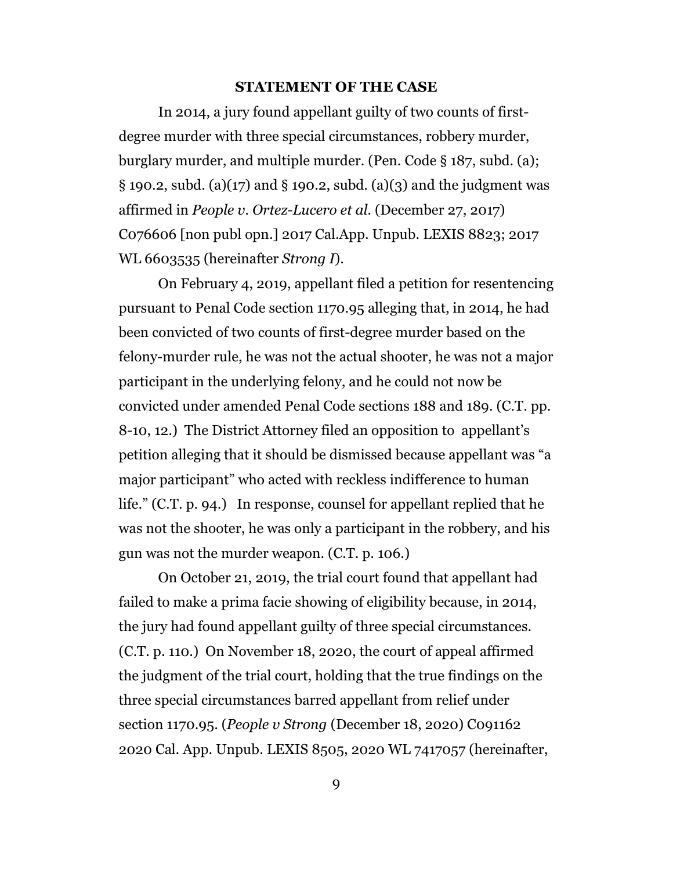#### **STATEMENT OF THE CASE**

In 2014, a jury found appellant guilty of two counts of firstdegree murder with three special circumstances, robbery murder, burglary murder, and multiple murder. (Pen. Code § 187, subd. (a); § 190.2, subd. (a)(17) and § 190.2, subd. (a)(3) and the judgment was affirmed in *People v. Ortez-Lucero et al.* (December 27, 2017) C076606 [non publ opn.] 2017 Cal.App. Unpub. LEXIS 8823; 2017 WL 6603535 (hereinafter *Strong I*).

On February 4, 2019, appellant filed a petition for resentencing pursuant to Penal Code section 1170.95 alleging that, in 2014, he had been convicted of two counts of first-degree murder based on the felony-murder rule, he was not the actual shooter, he was not a major participant in the underlying felony, and he could not now be convicted under amended Penal Code sections 188 and 189. (C.T. pp. 8-10, 12.) The District Attorney filed an opposition to appellant's petition alleging that it should be dismissed because appellant was "a major participant" who acted with reckless indifference to human life." (C.T. p. 94.) In response, counsel for appellant replied that he was not the shooter, he was only a participant in the robbery, and his gun was not the murder weapon. (C.T. p. 106.)

On October 21, 2019, the trial court found that appellant had failed to make a prima facie showing of eligibility because, in 2014, the jury had found appellant guilty of three special circumstances. (C.T. p. 110.) On November 18, 2020, the court of appeal affirmed the judgment of the trial court, holding that the true findings on the three special circumstances barred appellant from relief under section 1170.95. (*People v Strong* (December 18, 2020) C091162 2020 Cal. App. Unpub. LEXIS 8505, 2020 WL 7417057 (hereinafter,

9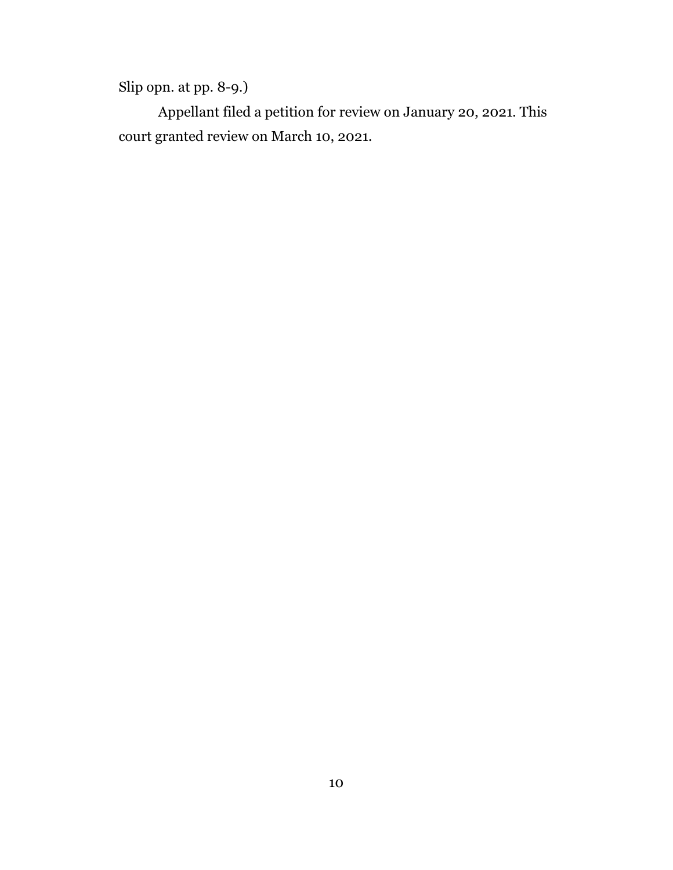Slip opn. at pp. 8-9.)

Appellant filed a petition for review on January 20, 2021. This court granted review on March 10, 2021.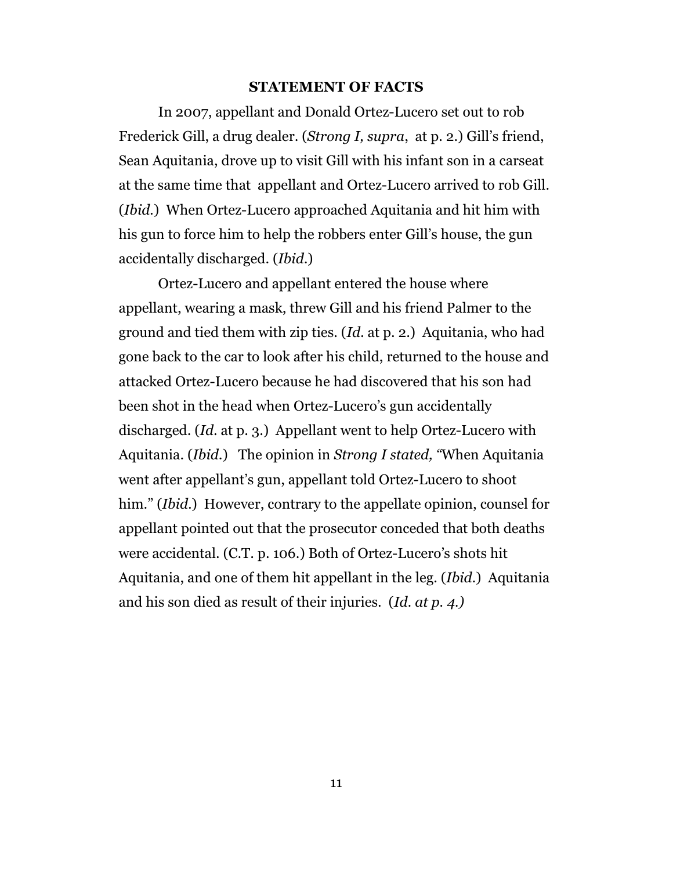#### **STATEMENT OF FACTS**

In 2007, appellant and Donald Ortez-Lucero set out to rob Frederick Gill, a drug dealer. (*Strong I, supra*, at p. 2.) Gill's friend, Sean Aquitania, drove up to visit Gill with his infant son in a carseat at the same time that appellant and Ortez-Lucero arrived to rob Gill. (*Ibid.*) When Ortez-Lucero approached Aquitania and hit him with his gun to force him to help the robbers enter Gill's house, the gun accidentally discharged. (*Ibid*.)

Ortez-Lucero and appellant entered the house where appellant, wearing a mask, threw Gill and his friend Palmer to the ground and tied them with zip ties. (*Id*. at p. 2.) Aquitania, who had gone back to the car to look after his child, returned to the house and attacked Ortez-Lucero because he had discovered that his son had been shot in the head when Ortez-Lucero's gun accidentally discharged. (*Id*. at p. 3.) Appellant went to help Ortez-Lucero with Aquitania. (*Ibid*.) The opinion in *Strong I stated, "*When Aquitania went after appellant's gun, appellant told Ortez-Lucero to shoot him." (*Ibid*.) However, contrary to the appellate opinion, counsel for appellant pointed out that the prosecutor conceded that both deaths were accidental. (C.T. p. 106.) Both of Ortez-Lucero's shots hit Aquitania, and one of them hit appellant in the leg. (*Ibid.*) Aquitania and his son died as result of their injuries. (*Id. at p. 4.)*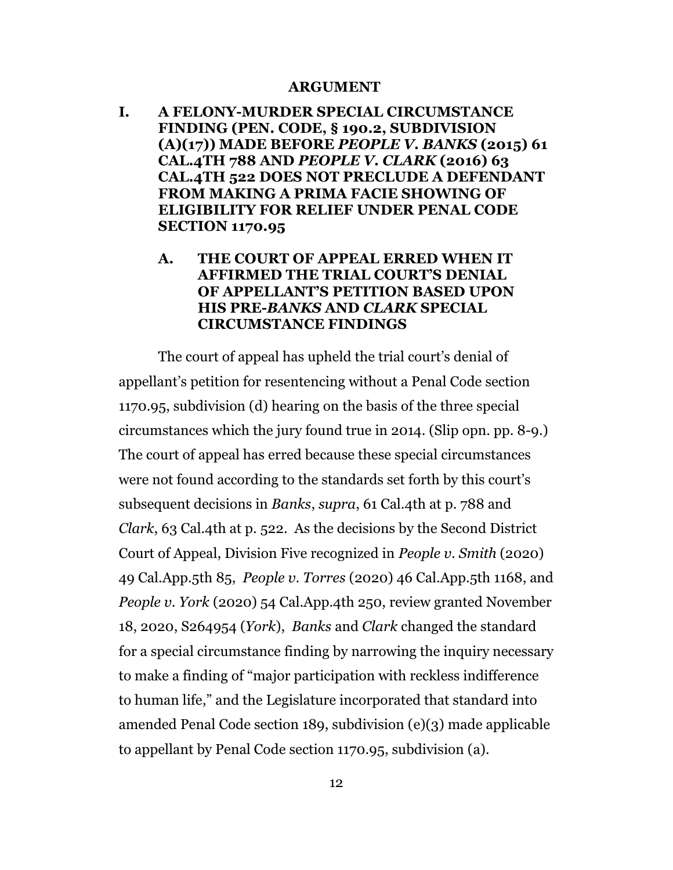#### **ARGUMENT**

**I. A FELONY-MURDER SPECIAL CIRCUMSTANCE FINDING (PEN. CODE, § 190.2, SUBDIVISION (A)(17)) MADE BEFORE** *PEOPLE V. BANKS* **(2015) 61 CAL.4TH 788 AND** *PEOPLE V. CLARK* **(2016) 63 CAL.4TH 522 DOES NOT PRECLUDE A DEFENDANT FROM MAKING A PRIMA FACIE SHOWING OF ELIGIBILITY FOR RELIEF UNDER PENAL CODE SECTION 1170.95**

### **A. THE COURT OF APPEAL ERRED WHEN IT AFFIRMED THE TRIAL COURT'S DENIAL OF APPELLANT'S PETITION BASED UPON HIS PRE-***BANKS* **AND** *CLARK* **SPECIAL CIRCUMSTANCE FINDINGS**

The court of appeal has upheld the trial court's denial of appellant's petition for resentencing without a Penal Code section 1170.95, subdivision (d) hearing on the basis of the three special circumstances which the jury found true in 2014. (Slip opn. pp. 8-9.) The court of appeal has erred because these special circumstances were not found according to the standards set forth by this court's subsequent decisions in *Banks*, *supra*, 61 Cal.4th at p. 788 and *Clark*, 63 Cal.4th at p. 522. As the decisions by the Second District Court of Appeal, Division Five recognized in *People v. Smith* (2020) 49 Cal.App.5th 85, *People v. Torres* (2020) 46 Cal.App.5th 1168, and *People v. York* (2020) 54 Cal.App.4th 250, review granted November 18, 2020, S264954 (*York*), *Banks* and *Clark* changed the standard for a special circumstance finding by narrowing the inquiry necessary to make a finding of "major participation with reckless indifference to human life," and the Legislature incorporated that standard into amended Penal Code section 189, subdivision (e)(3) made applicable to appellant by Penal Code section 1170.95, subdivision (a).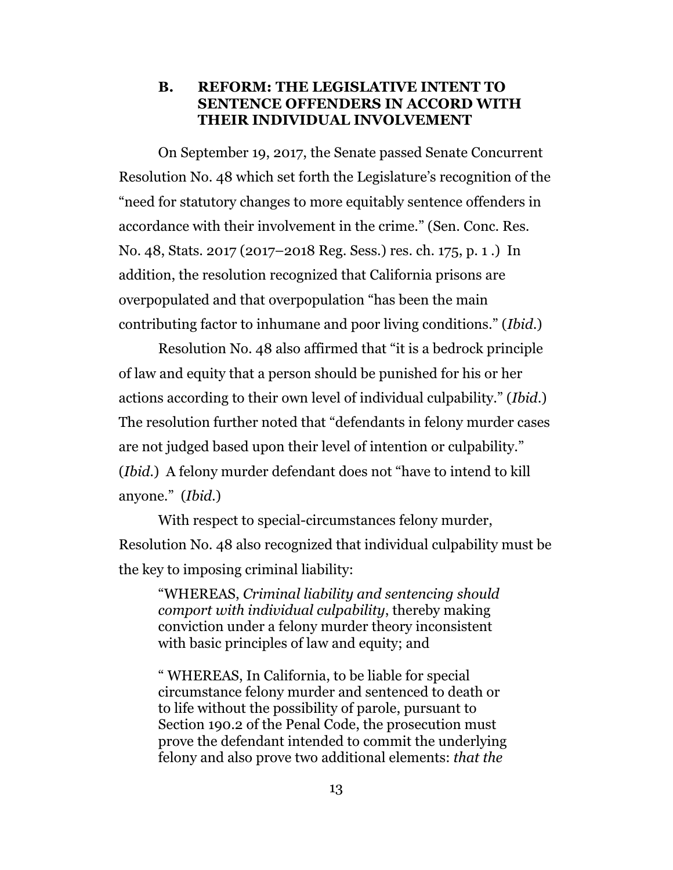### **B. REFORM: THE LEGISLATIVE INTENT TO SENTENCE OFFENDERS IN ACCORD WITH THEIR INDIVIDUAL INVOLVEMENT**

On September 19, 2017, the Senate passed Senate Concurrent Resolution No. 48 which set forth the Legislature's recognition of the "need for statutory changes to more equitably sentence offenders in accordance with their involvement in the crime." (Sen. Conc. Res. No. 48, Stats. 2017 (2017–2018 Reg. Sess.) res. ch. 175, p. 1 .) In addition, the resolution recognized that California prisons are overpopulated and that overpopulation "has been the main contributing factor to inhumane and poor living conditions." (*Ibid*.)

Resolution No. 48 also affirmed that "it is a bedrock principle of law and equity that a person should be punished for his or her actions according to their own level of individual culpability." (*Ibid*.) The resolution further noted that "defendants in felony murder cases are not judged based upon their level of intention or culpability." (*Ibid*.) A felony murder defendant does not "have to intend to kill anyone." (*Ibid*.)

With respect to special-circumstances felony murder, Resolution No. 48 also recognized that individual culpability must be the key to imposing criminal liability:

"WHEREAS, *Criminal liability and sentencing should comport with individual culpability*, thereby making conviction under a felony murder theory inconsistent with basic principles of law and equity; and

" WHEREAS, In California, to be liable for special circumstance felony murder and sentenced to death or to life without the possibility of parole, pursuant to Section 190.2 of the Penal Code, the prosecution must prove the defendant intended to commit the underlying felony and also prove two additional elements: *that the*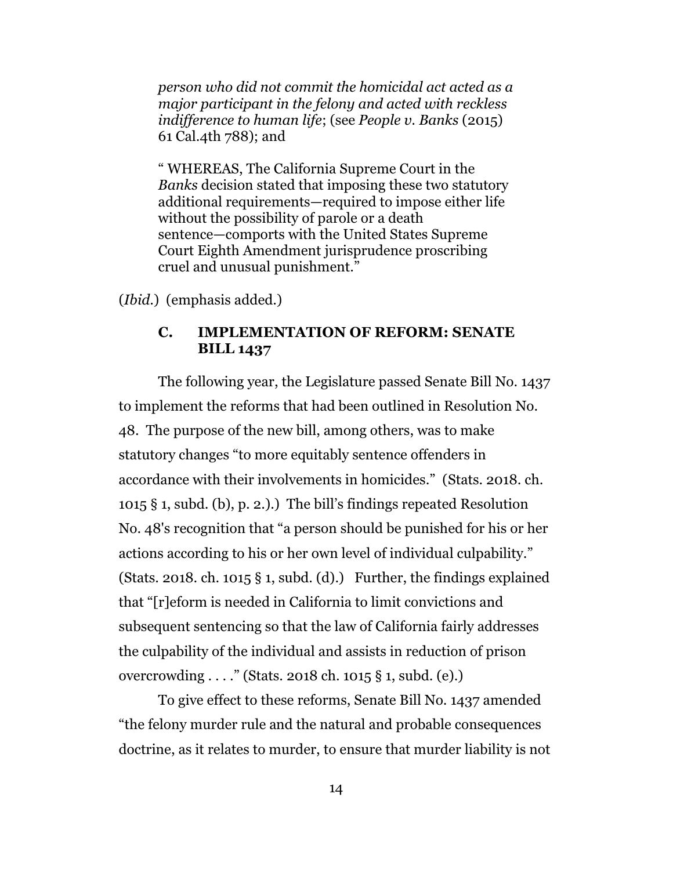*person who did not commit the homicidal act acted as a major participant in the felony and acted with reckless indifference to human life*; (see *People v. Banks* (2015) 61 Cal.4th 788); and

" WHEREAS, The California Supreme Court in the *Banks* decision stated that imposing these two statutory additional requirements—required to impose either life without the possibility of parole or a death sentence—comports with the United States Supreme Court Eighth Amendment jurisprudence proscribing cruel and unusual punishment."

(*Ibid*.) (emphasis added.)

#### **C. IMPLEMENTATION OF REFORM: SENATE BILL 1437**

The following year, the Legislature passed Senate Bill No. 1437 to implement the reforms that had been outlined in Resolution No. 48. The purpose of the new bill, among others, was to make statutory changes "to more equitably sentence offenders in accordance with their involvements in homicides." (Stats. 2018. ch. 1015 § 1, subd. (b), p. 2.).) The bill's findings repeated Resolution No. 48's recognition that "a person should be punished for his or her actions according to his or her own level of individual culpability." (Stats. 2018. ch. 1015  $\S$  1, subd. (d).) Further, the findings explained that "[r]eform is needed in California to limit convictions and subsequent sentencing so that the law of California fairly addresses the culpability of the individual and assists in reduction of prison overcrowding . . . ." (Stats. 2018 ch. 1015 § 1, subd. (e).)

To give effect to these reforms, Senate Bill No. 1437 amended "the felony murder rule and the natural and probable consequences doctrine, as it relates to murder, to ensure that murder liability is not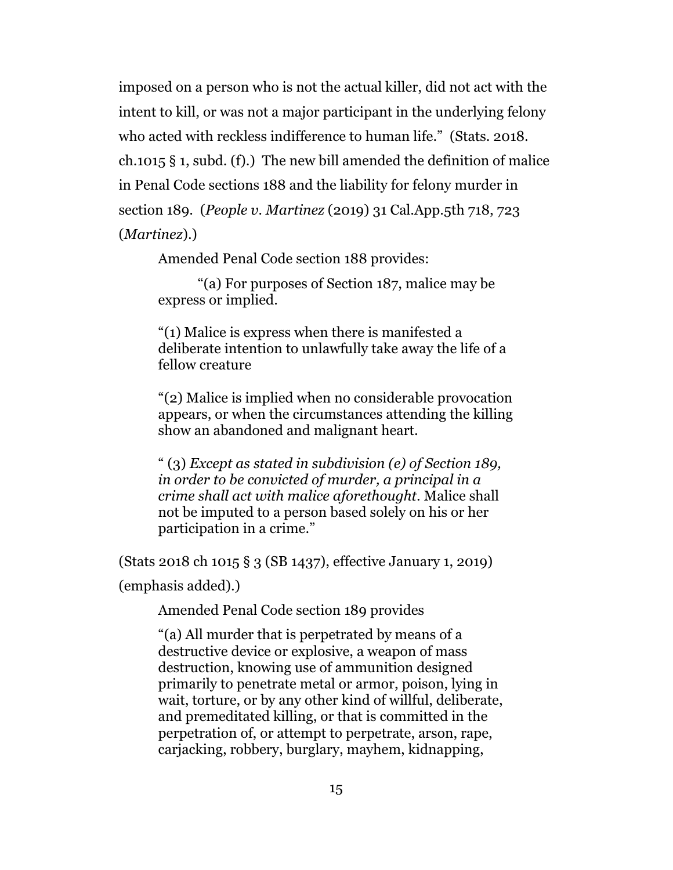imposed on a person who is not the actual killer, did not act with the intent to kill, or was not a major participant in the underlying felony who acted with reckless indifference to human life." (Stats. 2018. ch.1015 § 1, subd. (f).) The new bill amended the definition of malice in Penal Code sections 188 and the liability for felony murder in section 189. (*People v. Martinez* (2019) 31 Cal.App.5th 718, 723 (*Martinez*).)

Amended Penal Code section 188 provides:

"(a) For purposes of Section 187, malice may be express or implied.

"(1) Malice is express when there is manifested a deliberate intention to unlawfully take away the life of a fellow creature

"(2) Malice is implied when no considerable provocation appears, or when the circumstances attending the killing show an abandoned and malignant heart.

" (3) *Except as stated in subdivision (e) of Section 189, in order to be convicted of murder, a principal in a crime shall act with malice aforethought*. Malice shall not be imputed to a person based solely on his or her participation in a crime."

(Stats 2018 ch 1015 § 3 (SB 1437), effective January 1, 2019)

(emphasis added).)

Amended Penal Code section 189 provides

"(a) All murder that is perpetrated by means of a destructive device or explosive, a weapon of mass destruction, knowing use of ammunition designed primarily to penetrate metal or armor, poison, lying in wait, torture, or by any other kind of willful, deliberate, and premeditated killing, or that is committed in the perpetration of, or attempt to perpetrate, arson, rape, carjacking, robbery, burglary, mayhem, kidnapping,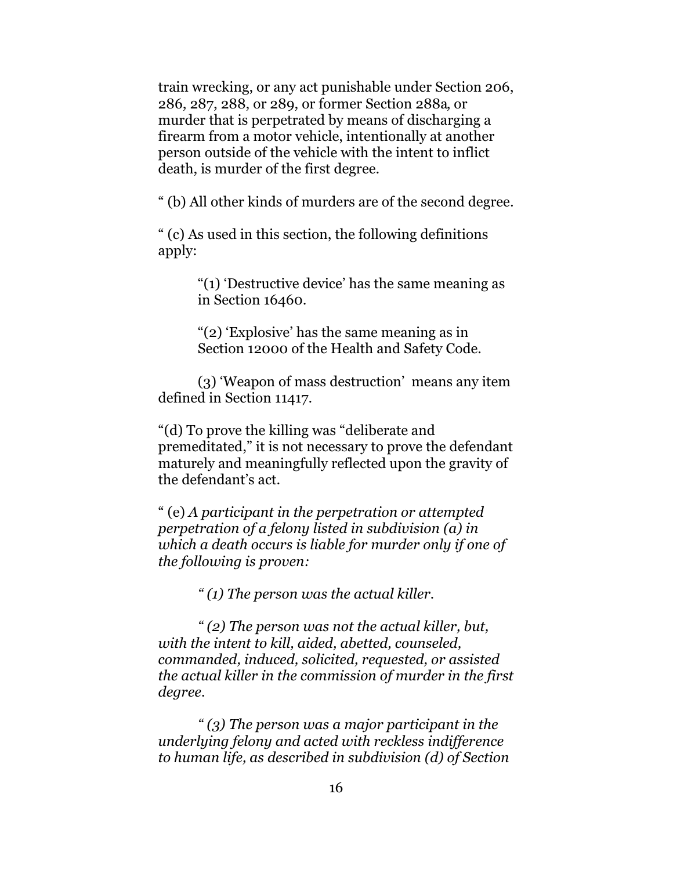train wrecking, or any act punishable under Section 206, 286, 287, 288, or 289, or former Section 288a, or murder that is perpetrated by means of discharging a firearm from a motor vehicle, intentionally at another person outside of the vehicle with the intent to inflict death, is murder of the first degree.

" (b) All other kinds of murders are of the second degree.

" (c) As used in this section, the following definitions apply:

> "(1) 'Destructive device' has the same meaning as in Section 16460.

"(2) 'Explosive' has the same meaning as in Section 12000 of the Health and Safety Code.

(3) 'Weapon of mass destruction' means any item defined in Section 11417.

"(d) To prove the killing was "deliberate and premeditated," it is not necessary to prove the defendant maturely and meaningfully reflected upon the gravity of the defendant's act.

" (e) *A participant in the perpetration or attempted perpetration of a felony listed in subdivision (a) in which a death occurs is liable for murder only if one of the following is proven:*

*" (1) The person was the actual killer.*

*" (2) The person was not the actual killer, but, with the intent to kill, aided, abetted, counseled, commanded, induced, solicited, requested, or assisted the actual killer in the commission of murder in the first degree.*

*" (3) The person was a major participant in the underlying felony and acted with reckless indifference to human life, as described in subdivision (d) of Section*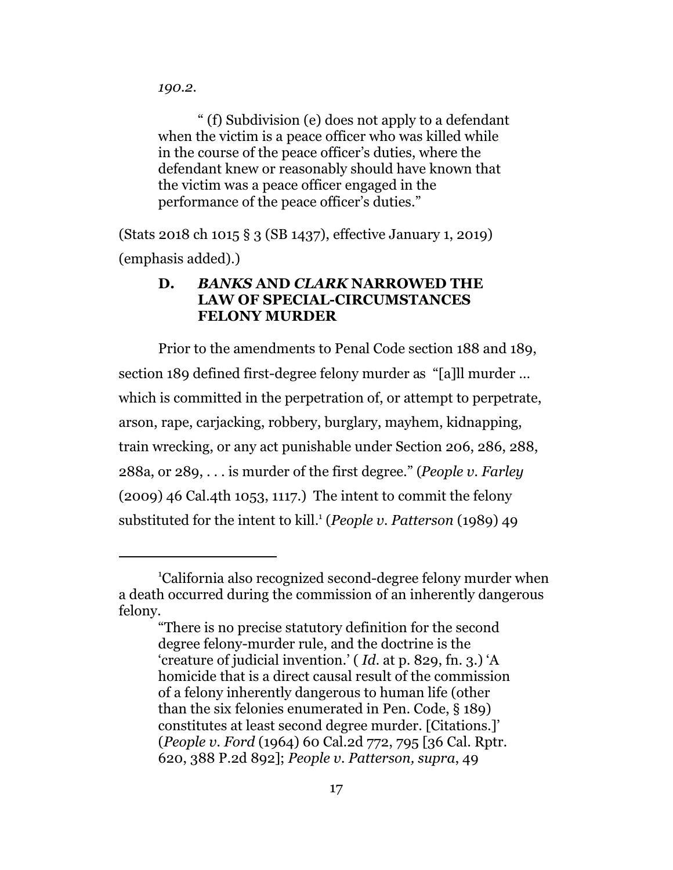*190.2*.

" (f) Subdivision (e) does not apply to a defendant when the victim is a peace officer who was killed while in the course of the peace officer's duties, where the defendant knew or reasonably should have known that the victim was a peace officer engaged in the performance of the peace officer's duties."

(Stats 2018 ch 1015 § 3 (SB 1437), effective January 1, 2019) (emphasis added).)

### **D.** *BANKS* **AND** *CLARK* **NARROWED THE LAW OF SPECIAL-CIRCUMSTANCES FELONY MURDER**

Prior to the amendments to Penal Code section 188 and 189, section 189 defined first-degree felony murder as "[a]ll murder … which is committed in the perpetration of, or attempt to perpetrate, arson, rape, carjacking, robbery, burglary, mayhem, kidnapping, train wrecking, or any act punishable under Section 206, 286, 288, 288a, or 289, . . . is murder of the first degree." (*People v. Farley* (2009) 46 Cal.4th 1053, 1117.) The intent to commit the felony substituted for the intent to kill.<sup>1</sup> (*People v. Patterson* (1989) 49

<sup>1</sup>California also recognized second-degree felony murder when a death occurred during the commission of an inherently dangerous felony.

<sup>&</sup>quot;There is no precise statutory definition for the second degree felony-murder rule, and the doctrine is the 'creature of judicial invention.' ( *Id.* at p. 829, fn. 3.) 'A homicide that is a direct causal result of the commission of a felony inherently dangerous to human life (other than the six felonies enumerated in Pen. Code, § 189) constitutes at least second degree murder. [Citations.]' (*People v. Ford* (1964) 60 Cal.2d 772, 795 [36 Cal. Rptr. 620, 388 P.2d 892]; *People v. Patterson, supra*, 49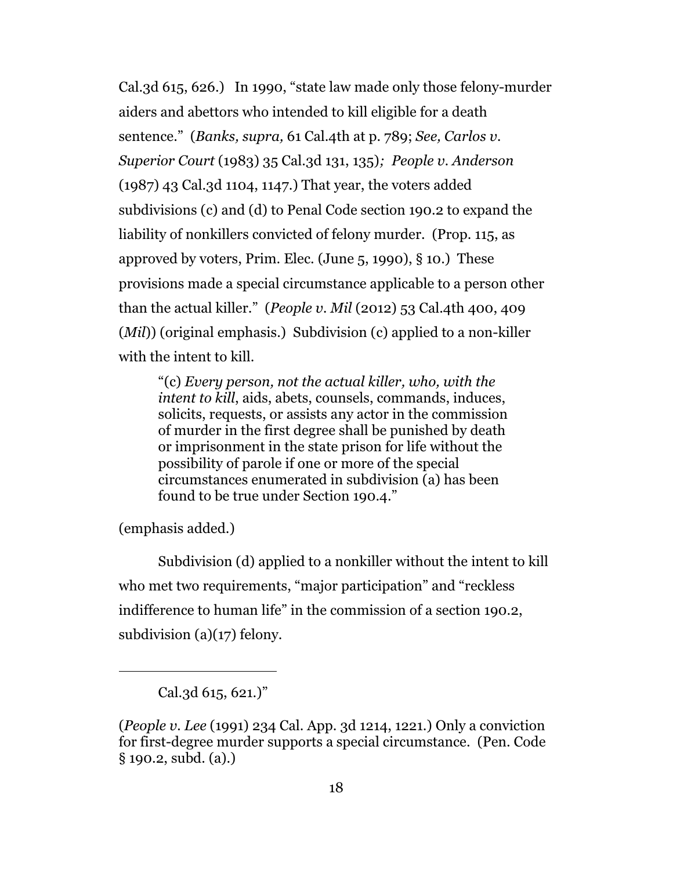Cal.3d 615, 626.) In 1990, "state law made only those felony-murder aiders and abettors who intended to kill eligible for a death sentence." (*Banks, supra,* 61 Cal.4th at p. 789; *See, Carlos v. Superior Court* (1983) 35 Cal.3d 131, 135)*; People v. Anderson* (1987) 43 Cal.3d 1104, 1147.) That year, the voters added subdivisions (c) and (d) to Penal Code section 190.2 to expand the liability of nonkillers convicted of felony murder. (Prop. 115, as approved by voters, Prim. Elec. (June  $5, 1990$ ),  $\S 10$ .) These provisions made a special circumstance applicable to a person other than the actual killer." (*People v. Mil* (2012) 53 Cal.4th 400, 409 (*Mil*)) (original emphasis.) Subdivision (c) applied to a non-killer with the intent to kill.

"(c) *Every person, not the actual killer, who, with the intent to kill*, aids, abets, counsels, commands, induces, solicits, requests, or assists any actor in the commission of murder in the first degree shall be punished by death or imprisonment in the state prison for life without the possibility of parole if one or more of the special circumstances enumerated in subdivision (a) has been found to be true under Section 190.4."

(emphasis added.)

Subdivision (d) applied to a nonkiller without the intent to kill who met two requirements, "major participation" and "reckless indifference to human life" in the commission of a section 190.2, subdivision (a)(17) felony.

Cal.3d 615, 621.)"

<sup>(</sup>*People v. Lee* (1991) 234 Cal. App. 3d 1214, 1221.) Only a conviction for first-degree murder supports a special circumstance. (Pen. Code § 190.2, subd. (a).)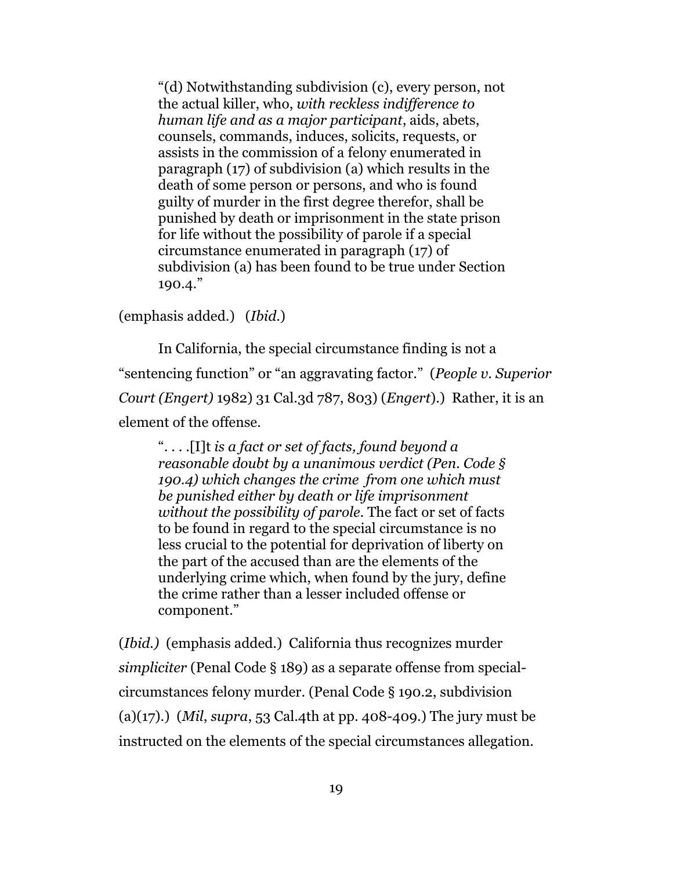"(d) Notwithstanding subdivision (c), every person, not the actual killer, who, *with reckless indifference to human life and as a major participant*, aids, abets, counsels, commands, induces, solicits, requests, or assists in the commission of a felony enumerated in paragraph (17) of subdivision (a) which results in the death of some person or persons, and who is found guilty of murder in the first degree therefor, shall be punished by death or imprisonment in the state prison for life without the possibility of parole if a special circumstance enumerated in paragraph (17) of subdivision (a) has been found to be true under Section 190.4."

(emphasis added.) (*Ibid*.)

In California, the special circumstance finding is not a "sentencing function" or "an aggravating factor." (*People v. Superior Court (Engert)* 1982) 31 Cal.3d 787, 803) (*Engert*).) Rather, it is an element of the offense.

". . . .[I]t *is a fact or set of facts, found beyond a reasonable doubt by a unanimous verdict (Pen. Code § 190.4) which changes the crime from one which must be punished either by death or life imprisonment without the possibility of parole.* The fact or set of facts to be found in regard to the special circumstance is no less crucial to the potential for deprivation of liberty on the part of the accused than are the elements of the underlying crime which, when found by the jury, define the crime rather than a lesser included offense or component."

(*Ibid.)* (emphasis added.) California thus recognizes murder *simpliciter* (Penal Code § 189) as a separate offense from specialcircumstances felony murder. (Penal Code § 190.2, subdivision (a)(17).) (*Mil*, *supra*, 53 Cal.4th at pp. 408-409.) The jury must be instructed on the elements of the special circumstances allegation.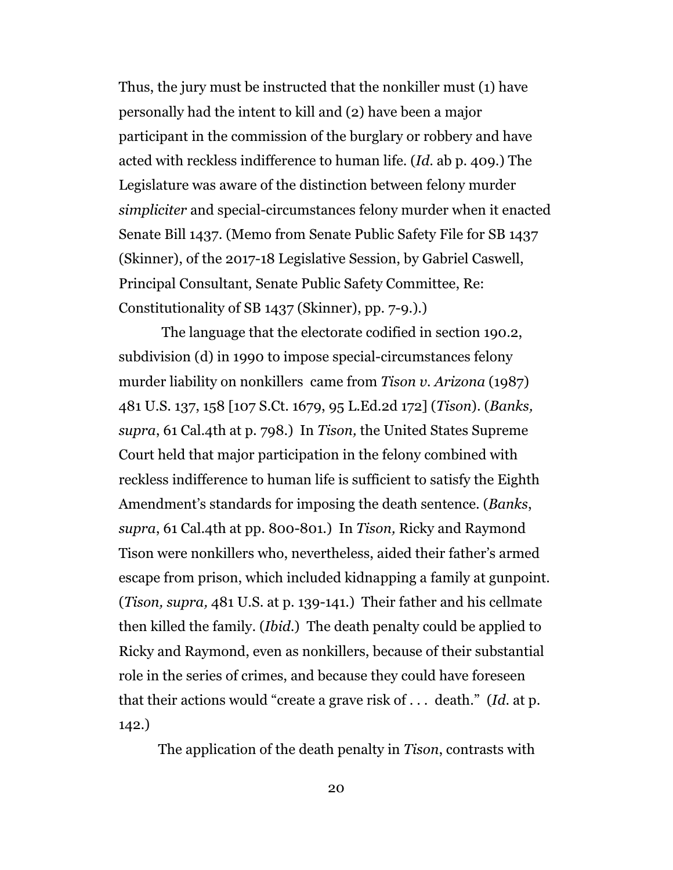Thus, the jury must be instructed that the nonkiller must (1) have personally had the intent to kill and (2) have been a major participant in the commission of the burglary or robbery and have acted with reckless indifference to human life. (*Id*. ab p. 409.) The Legislature was aware of the distinction between felony murder *simpliciter* and special-circumstances felony murder when it enacted Senate Bill 1437. (Memo from Senate Public Safety File for SB 1437 (Skinner), of the 2017-18 Legislative Session, by Gabriel Caswell, Principal Consultant, Senate Public Safety Committee, Re: Constitutionality of SB 1437 (Skinner), pp. 7-9.).)

 The language that the electorate codified in section 190.2, subdivision (d) in 1990 to impose special-circumstances felony murder liability on nonkillers came from *Tison v. Arizona* (1987) 481 U.S. 137, 158 [107 S.Ct. 1679, 95 L.Ed.2d 172] (*Tison*). (*Banks, supra*, 61 Cal.4th at p. 798.) In *Tison,* the United States Supreme Court held that major participation in the felony combined with reckless indifference to human life is sufficient to satisfy the Eighth Amendment's standards for imposing the death sentence. (*Banks*, *supra*, 61 Cal.4th at pp. 800-801.) In *Tison,* Ricky and Raymond Tison were nonkillers who, nevertheless, aided their father's armed escape from prison, which included kidnapping a family at gunpoint. (*Tison, supra,* 481 U.S. at p. 139-141.) Their father and his cellmate then killed the family. (*Ibid*.) The death penalty could be applied to Ricky and Raymond, even as nonkillers, because of their substantial role in the series of crimes, and because they could have foreseen that their actions would "create a grave risk of . . . death." (*Id*. at p. 142.)

The application of the death penalty in *Tison*, contrasts with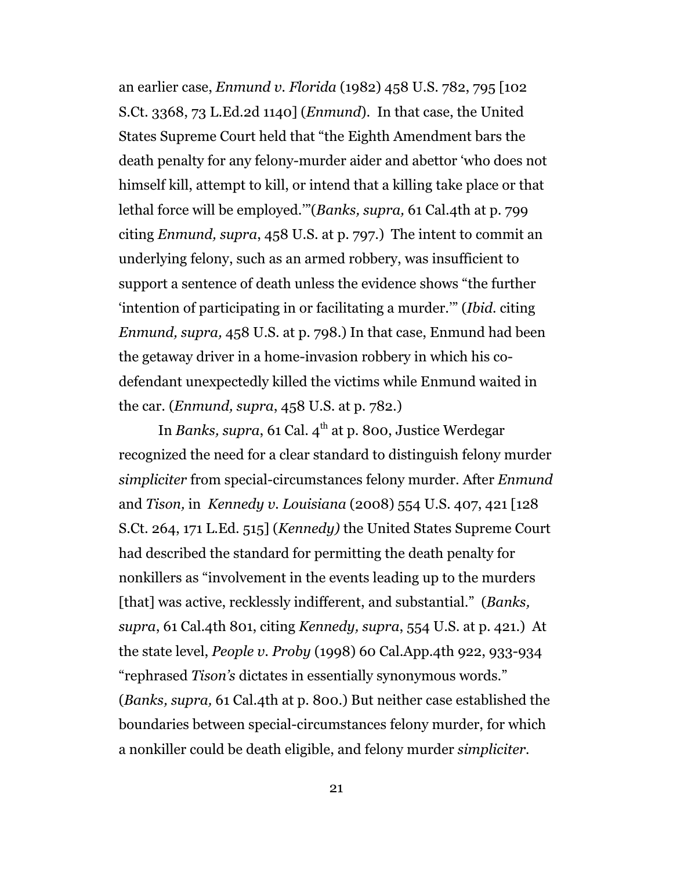an earlier case, *Enmund v. Florida* (1982) 458 U.S. 782, 795 [102 S.Ct. 3368, 73 L.Ed.2d 1140] (*Enmund*). In that case, the United States Supreme Court held that "the Eighth Amendment bars the death penalty for any felony-murder aider and abettor 'who does not himself kill, attempt to kill, or intend that a killing take place or that lethal force will be employed.'"(*Banks, supra,* 61 Cal.4th at p. 799 citing *Enmund, supra*, 458 U.S. at p. 797.) The intent to commit an underlying felony, such as an armed robbery, was insufficient to support a sentence of death unless the evidence shows "the further 'intention of participating in or facilitating a murder.'" (*Ibid.* citing *Enmund, supra,* 458 U.S. at p. 798.) In that case, Enmund had been the getaway driver in a home-invasion robbery in which his codefendant unexpectedly killed the victims while Enmund waited in the car. (*Enmund, supra*, 458 U.S. at p. 782.)

In *Banks, supra,* 61 Cal. 4<sup>th</sup> at p. 800, Justice Werdegar recognized the need for a clear standard to distinguish felony murder *simpliciter* from special-circumstances felony murder. After *Enmund* and *Tison,* in *Kennedy v. Louisiana* (2008) 554 U.S. 407, 421 [128 S.Ct. 264, 171 L.Ed. 515] (*Kennedy)* the United States Supreme Court had described the standard for permitting the death penalty for nonkillers as "involvement in the events leading up to the murders [that] was active, recklessly indifferent, and substantial." (*Banks, supra*, 61 Cal.4th 801, citing *Kennedy, supra*, 554 U.S. at p. 421.) At the state level, *People v. Proby* (1998) 60 Cal.App.4th 922, 933-934 "rephrased *Tison's* dictates in essentially synonymous words." (*Banks, supra,* 61 Cal.4th at p. 800.) But neither case established the boundaries between special-circumstances felony murder, for which a nonkiller could be death eligible, and felony murder *simpliciter.*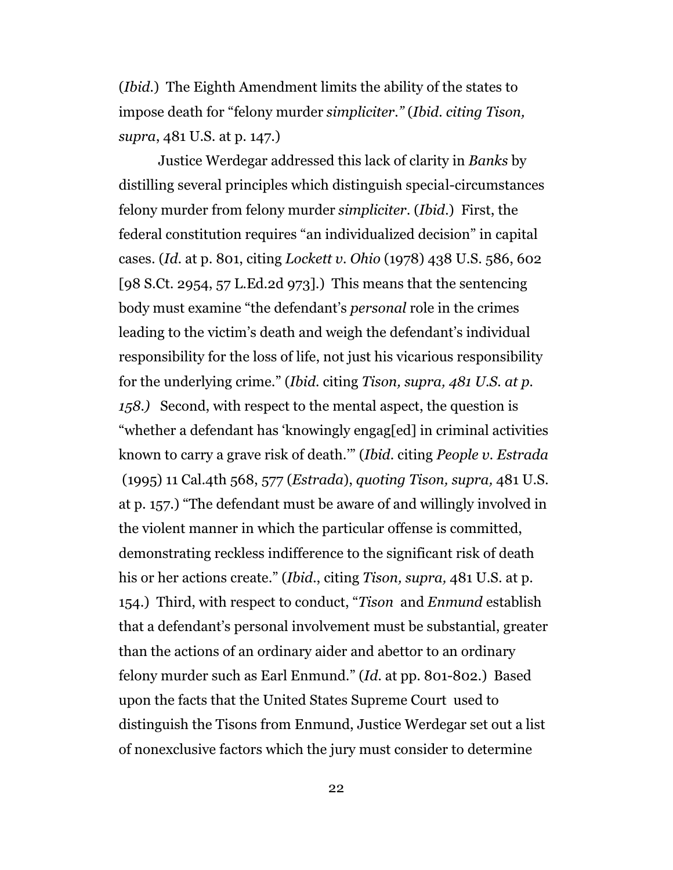(*Ibid*.) The Eighth Amendment limits the ability of the states to impose death for "felony murder *simpliciter."* (*Ibid. citing Tison, supra*, 481 U.S. at p. 147.)

Justice Werdegar addressed this lack of clarity in *Banks* by distilling several principles which distinguish special-circumstances felony murder from felony murder *simpliciter*. (*Ibid*.) First, the federal constitution requires "an individualized decision" in capital cases. (*Id*. at p. 801, citing *Lockett v. Ohio* (1978) 438 U.S. 586, 602 [98 S.Ct. 2954, 57 L.Ed.2d 973].) This means that the sentencing body must examine "the defendant's *personal* role in the crimes leading to the victim's death and weigh the defendant's individual responsibility for the loss of life, not just his vicarious responsibility for the underlying crime." (*Ibid.* citing *Tison, supra, 481 U.S. at p. 158.)* Second, with respect to the mental aspect, the question is "whether a defendant has 'knowingly engag[ed] in criminal activities known to carry a grave risk of death.'" (*Ibid.* citing *People v. Estrada*  (1995) 11 Cal.4th 568, 577 (*Estrada*), *quoting Tison, supra,* 481 U.S. at p. 157.) "The defendant must be aware of and willingly involved in the violent manner in which the particular offense is committed, demonstrating reckless indifference to the significant risk of death his or her actions create." (*Ibid*., citing *Tison, supra,* 481 U.S. at p. 154.) Third, with respect to conduct, "*Tison* and *Enmund* establish that a defendant's personal involvement must be substantial, greater than the actions of an ordinary aider and abettor to an ordinary felony murder such as Earl Enmund." (*Id*. at pp. 801-802.) Based upon the facts that the United States Supreme Court used to distinguish the Tisons from Enmund, Justice Werdegar set out a list of nonexclusive factors which the jury must consider to determine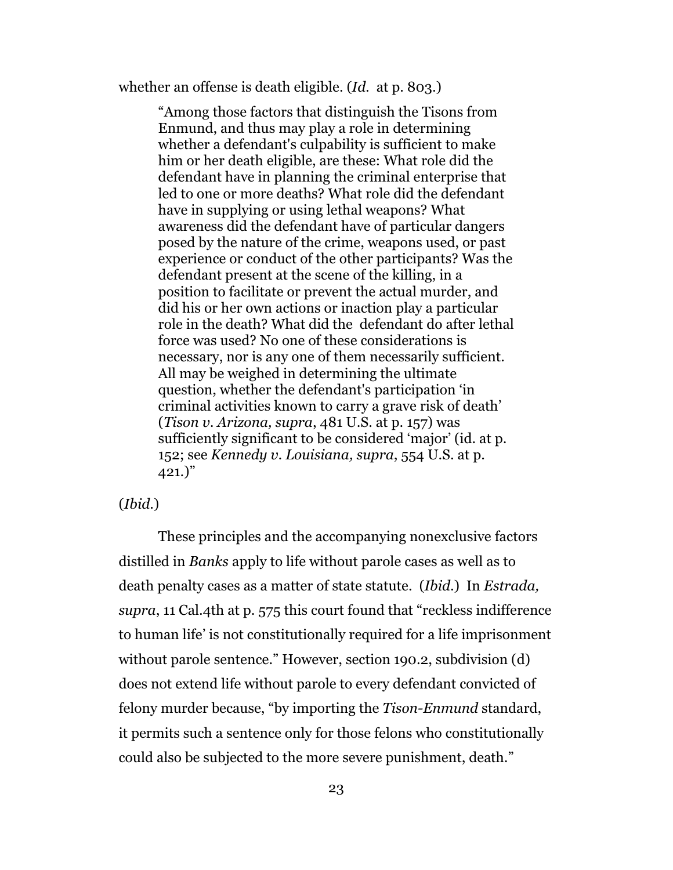whether an offense is death eligible. (*Id.* at p. 803.)

"Among those factors that distinguish the Tisons from Enmund, and thus may play a role in determining whether a defendant's culpability is sufficient to make him or her death eligible, are these: What role did the defendant have in planning the criminal enterprise that led to one or more deaths? What role did the defendant have in supplying or using lethal weapons? What awareness did the defendant have of particular dangers posed by the nature of the crime, weapons used, or past experience or conduct of the other participants? Was the defendant present at the scene of the killing, in a position to facilitate or prevent the actual murder, and did his or her own actions or inaction play a particular role in the death? What did the defendant do after lethal force was used? No one of these considerations is necessary, nor is any one of them necessarily sufficient. All may be weighed in determining the ultimate question, whether the defendant's participation 'in criminal activities known to carry a grave risk of death' (*Tison v. Arizona, supra*, 481 U.S. at p. 157) was sufficiently significant to be considered 'major' (id. at p. 152; see *Kennedy v. Louisiana, supra*, 554 U.S. at p.  $(421.)$ "

#### (*Ibid*.)

These principles and the accompanying nonexclusive factors distilled in *Banks* apply to life without parole cases as well as to death penalty cases as a matter of state statute. (*Ibid*.) In *Estrada, supra*, 11 Cal.4th at p. 575 this court found that "reckless indifference to human life' is not constitutionally required for a life imprisonment without parole sentence." However, section 190.2, subdivision (d) does not extend life without parole to every defendant convicted of felony murder because, "by importing the *Tison-Enmund* standard, it permits such a sentence only for those felons who constitutionally could also be subjected to the more severe punishment, death."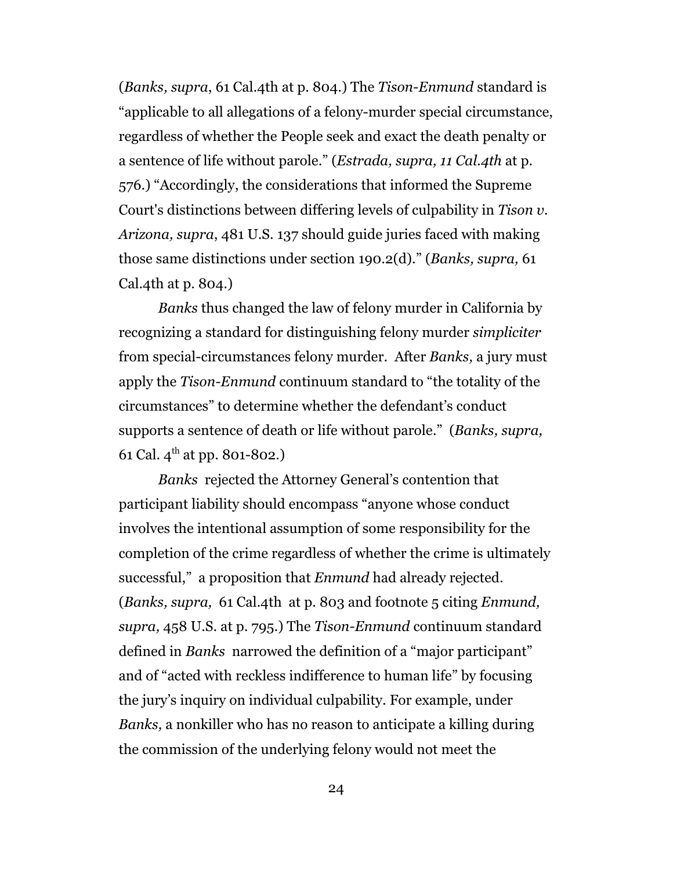(*Banks, supra*, 61 Cal.4th at p. 804.) The *Tison-Enmund* standard is "applicable to all allegations of a felony-murder special circumstance, regardless of whether the People seek and exact the death penalty or a sentence of life without parole." (*Estrada, supra, 11 Cal.4th* at p. 576.) "Accordingly, the considerations that informed the Supreme Court's distinctions between differing levels of culpability in *Tison v. Arizona, supra*, 481 U.S. 137 should guide juries faced with making those same distinctions under section 190.2(d)." (*Banks, supra,* 61 Cal.4th at p. 804.)

*Banks* thus changed the law of felony murder in California by recognizing a standard for distinguishing felony murder *simpliciter* from special-circumstances felony murder. After *Banks,* a jury must apply the *Tison-Enmund* continuum standard to "the totality of the circumstances" to determine whether the defendant's conduct supports a sentence of death or life without parole." (*Banks, supra,* 61 Cal.  $4^{\text{th}}$  at pp. 801-802.)

*Banks* rejected the Attorney General's contention that participant liability should encompass "anyone whose conduct involves the intentional assumption of some responsibility for the completion of the crime regardless of whether the crime is ultimately successful," a proposition that *Enmund* had already rejected. (*Banks, supra,* 61 Cal.4th at p. 803 and footnote 5 citing *Enmund, supra,* 458 U.S. at p. 795.) The *Tison-Enmund* continuum standard defined in *Banks* narrowed the definition of a "major participant" and of "acted with reckless indifference to human life" by focusing the jury's inquiry on individual culpability. For example, under *Banks,* a nonkiller who has no reason to anticipate a killing during the commission of the underlying felony would not meet the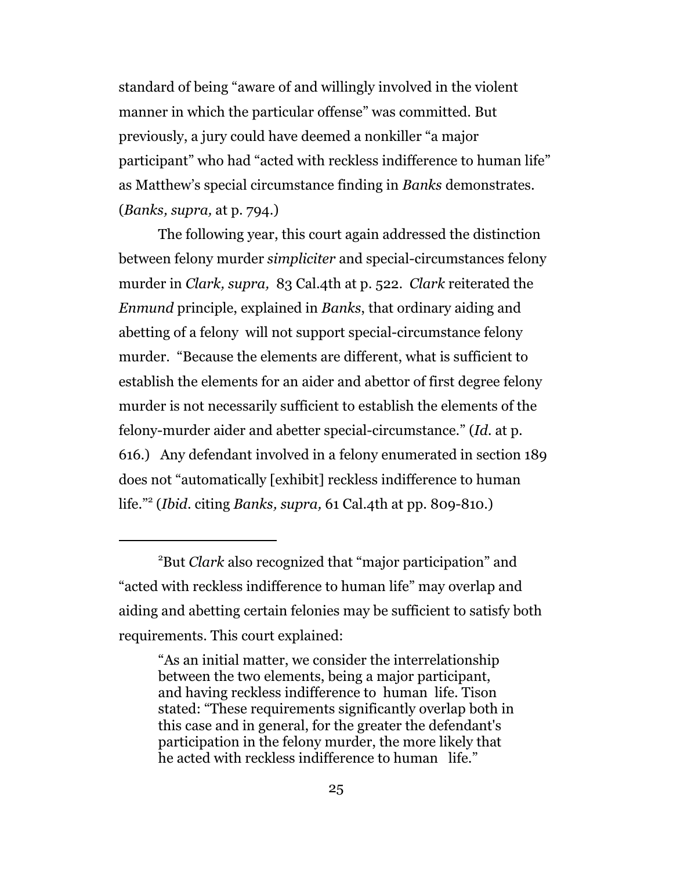standard of being "aware of and willingly involved in the violent manner in which the particular offense" was committed. But previously, a jury could have deemed a nonkiller "a major participant" who had "acted with reckless indifference to human life" as Matthew's special circumstance finding in *Banks* demonstrates. (*Banks, supra,* at p. 794.)

The following year, this court again addressed the distinction between felony murder *simpliciter* and special-circumstances felony murder in *Clark, supra,* 83 Cal.4th at p. 522. *Clark* reiterated the *Enmund* principle, explained in *Banks*, that ordinary aiding and abetting of a felony will not support special-circumstance felony murder. "Because the elements are different, what is sufficient to establish the elements for an aider and abettor of first degree felony murder is not necessarily sufficient to establish the elements of the felony-murder aider and abetter special-circumstance." (*Id.* at p. 616.) Any defendant involved in a felony enumerated in section 189 does not "automatically [exhibit] reckless indifference to human life."<sup>2</sup> (*Ibid*. citing *Banks, supra,* 61 Cal.4th at pp. 809-810.)

<sup>2</sup>But *Clark* also recognized that "major participation" and "acted with reckless indifference to human life" may overlap and aiding and abetting certain felonies may be sufficient to satisfy both requirements. This court explained:

<sup>&</sup>quot;As an initial matter, we consider the interrelationship between the two elements, being a major participant, and having reckless indifference to human life. Tison stated: "These requirements significantly overlap both in this case and in general, for the greater the defendant's participation in the felony murder, the more likely that he acted with reckless indifference to human life."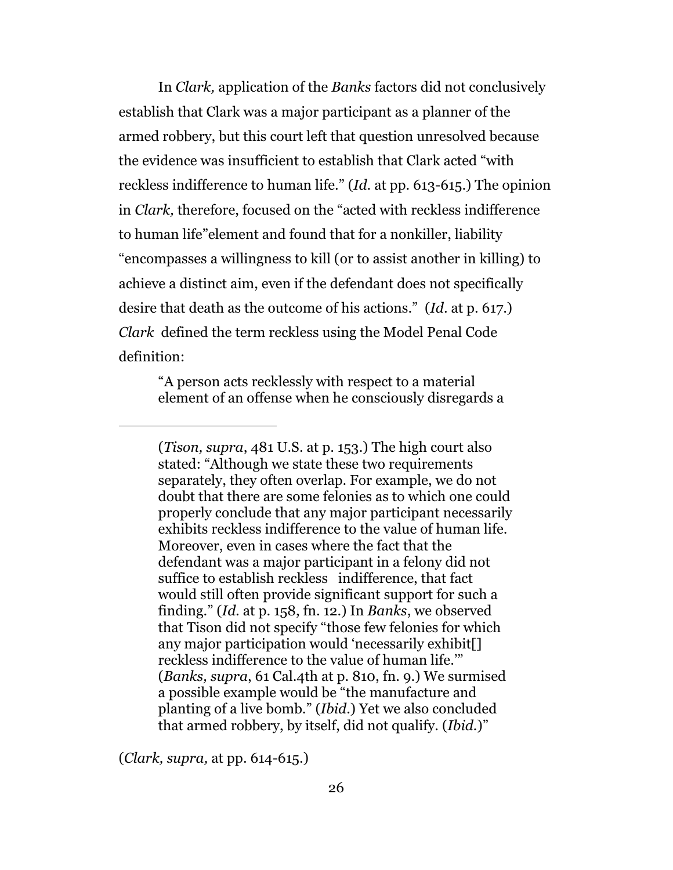In *Clark,* application of the *Banks* factors did not conclusively establish that Clark was a major participant as a planner of the armed robbery, but this court left that question unresolved because the evidence was insufficient to establish that Clark acted "with reckless indifference to human life." (*Id*. at pp. 613-615.) The opinion in *Clark,* therefore, focused on the "acted with reckless indifference to human life"element and found that for a nonkiller, liability "encompasses a willingness to kill (or to assist another in killing) to achieve a distinct aim, even if the defendant does not specifically desire that death as the outcome of his actions." (*Id*. at p. 617.) *Clark* defined the term reckless using the Model Penal Code definition:

"A person acts recklessly with respect to a material element of an offense when he consciously disregards a

(*Clark, supra,* at pp. 614-615.)

<sup>(</sup>*Tison, supra*, 481 U.S. at p. 153.) The high court also stated: "Although we state these two requirements separately, they often overlap. For example, we do not doubt that there are some felonies as to which one could properly conclude that any major participant necessarily exhibits reckless indifference to the value of human life. Moreover, even in cases where the fact that the defendant was a major participant in a felony did not suffice to establish reckless indifference, that fact would still often provide significant support for such a finding." (*Id.* at p. 158, fn. 12.) In *Banks*, we observed that Tison did not specify "those few felonies for which any major participation would 'necessarily exhibit[] reckless indifference to the value of human life.'" (*Banks, supra*, 61 Cal.4th at p. 810, fn. 9.) We surmised a possible example would be "the manufacture and planting of a live bomb." (*Ibid*.) Yet we also concluded that armed robbery, by itself, did not qualify. (*Ibid.*)"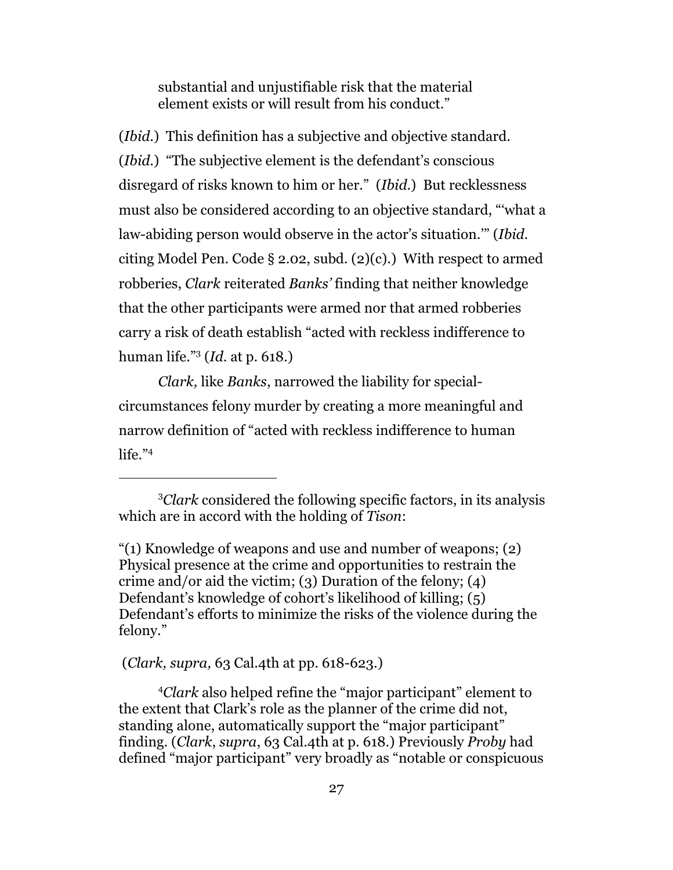substantial and unjustifiable risk that the material element exists or will result from his conduct."

(*Ibid*.) This definition has a subjective and objective standard. (*Ibid*.) "The subjective element is the defendant's conscious disregard of risks known to him or her." (*Ibid*.) But recklessness must also be considered according to an objective standard, "'what a law-abiding person would observe in the actor's situation.'" (*Ibid.* citing Model Pen. Code § 2.02, subd. (2)(c).) With respect to armed robberies, *Clark* reiterated *Banks'* finding that neither knowledge that the other participants were armed nor that armed robberies carry a risk of death establish "acted with reckless indifference to human life."<sup>3</sup> (*Id*. at p. 618.)

*Clark,* like *Banks*, narrowed the liability for specialcircumstances felony murder by creating a more meaningful and narrow definition of "acted with reckless indifference to human life."<sup>4</sup>

(*Clark, supra,* 63 Cal.4th at pp. 618-623.)

<sup>4</sup>*Clark* also helped refine the "major participant" element to the extent that Clark's role as the planner of the crime did not, standing alone, automatically support the "major participant" finding. (*Clark*, *supra*, 63 Cal.4th at p. 618.) Previously *Proby* had defined "major participant" very broadly as "notable or conspicuous

<sup>3</sup>*Clark* considered the following specific factors, in its analysis which are in accord with the holding of *Tison*:

<sup>&</sup>quot;(1) Knowledge of weapons and use and number of weapons; (2) Physical presence at the crime and opportunities to restrain the crime and/or aid the victim; (3) Duration of the felony; (4) Defendant's knowledge of cohort's likelihood of killing; (5) Defendant's efforts to minimize the risks of the violence during the felony."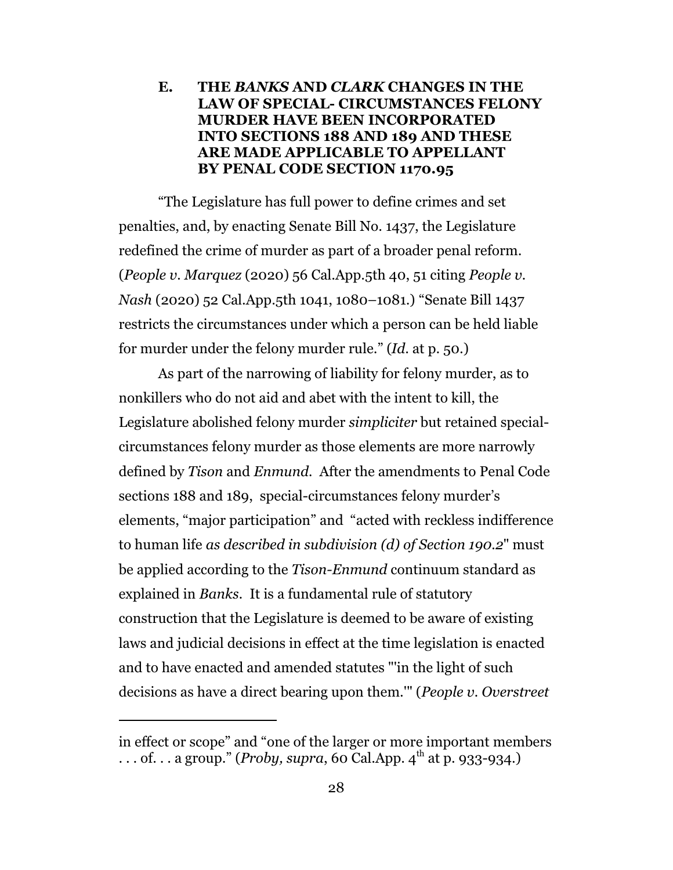### **E. THE** *BANKS* **AND** *CLARK* **CHANGES IN THE LAW OF SPECIAL- CIRCUMSTANCES FELONY MURDER HAVE BEEN INCORPORATED INTO SECTIONS 188 AND 189 AND THESE ARE MADE APPLICABLE TO APPELLANT BY PENAL CODE SECTION 1170.95**

"The Legislature has full power to define crimes and set penalties, and, by enacting Senate Bill No. 1437, the Legislature redefined the crime of murder as part of a broader penal reform. (*People v. Marquez* (2020) 56 Cal.App.5th 40, 51 citing *People v. Nash* (2020) 52 Cal.App.5th 1041, 1080–1081.) "Senate Bill 1437 restricts the circumstances under which a person can be held liable for murder under the felony murder rule." (*Id*. at p. 50.)

As part of the narrowing of liability for felony murder, as to nonkillers who do not aid and abet with the intent to kill, the Legislature abolished felony murder *simpliciter* but retained specialcircumstances felony murder as those elements are more narrowly defined by *Tison* and *Enmund.* After the amendments to Penal Code sections 188 and 189, special-circumstances felony murder's elements, "major participation" and "acted with reckless indifference to human life *as described in subdivision (d) of Section 190.2*" must be applied according to the *Tison-Enmund* continuum standard as explained in *Banks.* It is a fundamental rule of statutory construction that the Legislature is deemed to be aware of existing laws and judicial decisions in effect at the time legislation is enacted and to have enacted and amended statutes "'in the light of such decisions as have a direct bearing upon them.'" (*People v. Overstreet*

in effect or scope" and "one of the larger or more important members . . . of. . . a group." (*Proby, supra,* 60 Cal.App. 4<sup>th</sup> at p. 933-934.)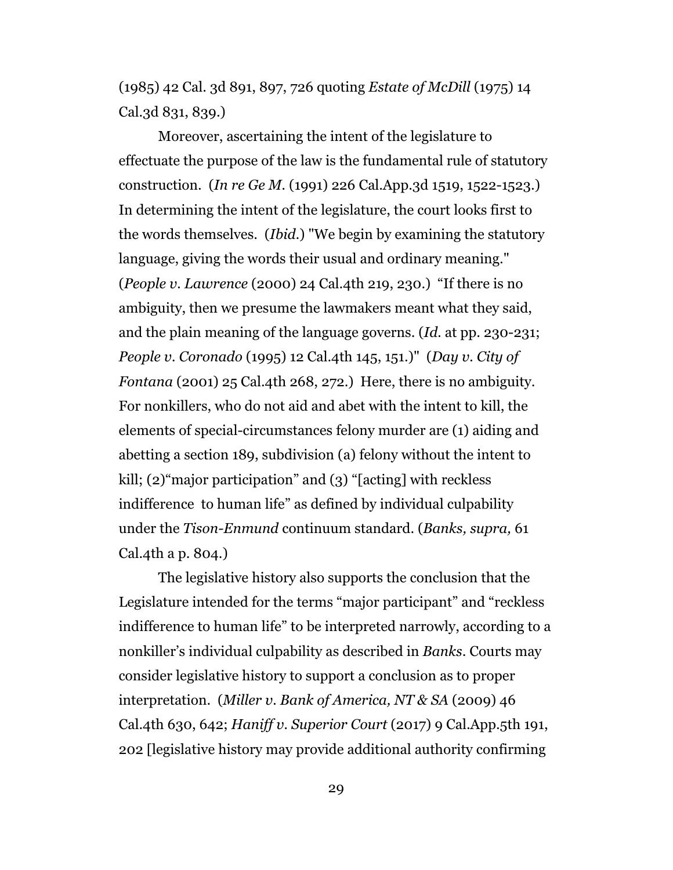(1985) 42 Cal. 3d 891, 897, 726 quoting *Estate of McDill* (1975) 14 Cal.3d 831, 839.)

Moreover, ascertaining the intent of the legislature to effectuate the purpose of the law is the fundamental rule of statutory construction. (*In re Ge M.* (1991) 226 Cal.App.3d 1519, 1522-1523.) In determining the intent of the legislature, the court looks first to the words themselves. (*Ibid.*) "We begin by examining the statutory language, giving the words their usual and ordinary meaning." (*People v. Lawrence* (2000) 24 Cal.4th 219, 230.) "If there is no ambiguity, then we presume the lawmakers meant what they said, and the plain meaning of the language governs. (*Id.* at pp. 230-231; *People v. Coronado* (1995) 12 Cal.4th 145, 151.)" (*Day v. City of Fontana* (2001) 25 Cal.4th 268, 272.) Here, there is no ambiguity. For nonkillers, who do not aid and abet with the intent to kill, the elements of special-circumstances felony murder are (1) aiding and abetting a section 189, subdivision (a) felony without the intent to kill; (2)"major participation" and (3) "[acting] with reckless indifference to human life" as defined by individual culpability under the *Tison-Enmund* continuum standard. (*Banks, supra,* 61 Cal.4th a p. 804.)

The legislative history also supports the conclusion that the Legislature intended for the terms "major participant" and "reckless indifference to human life" to be interpreted narrowly, according to a nonkiller's individual culpability as described in *Banks*. Courts may consider legislative history to support a conclusion as to proper interpretation. (*Miller v. Bank of America, NT & SA* (2009) 46 Cal.4th 630, 642; *Haniff v. Superior Court* (2017) 9 Cal.App.5th 191, 202 [legislative history may provide additional authority confirming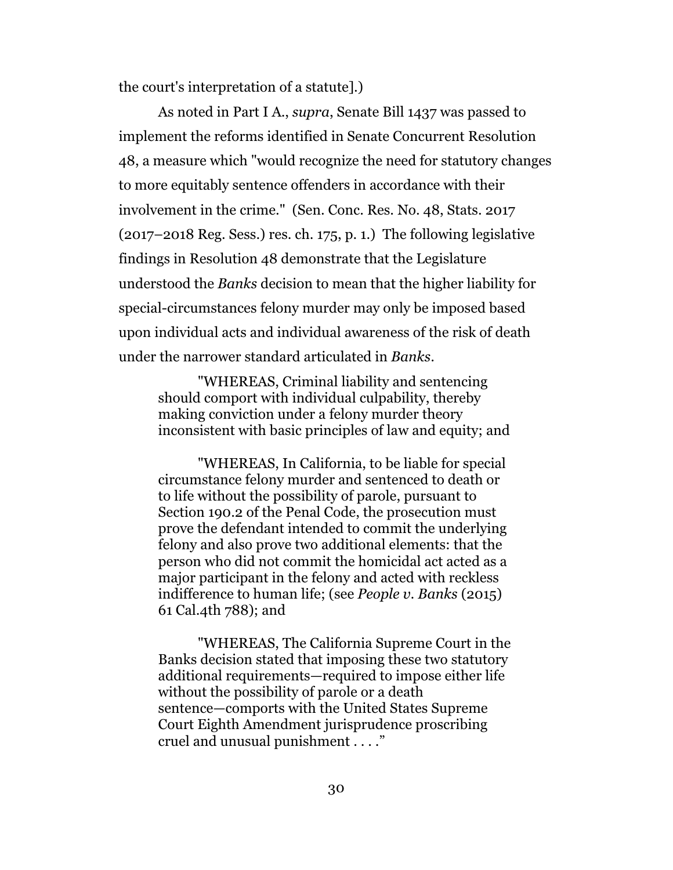the court's interpretation of a statute].)

As noted in Part I A., *supra*, Senate Bill 1437 was passed to implement the reforms identified in Senate Concurrent Resolution 48, a measure which "would recognize the need for statutory changes to more equitably sentence offenders in accordance with their involvement in the crime." (Sen. Conc. Res. No. 48, Stats. 2017 (2017–2018 Reg. Sess.) res. ch. 175, p. 1.) The following legislative findings in Resolution 48 demonstrate that the Legislature understood the *Banks* decision to mean that the higher liability for special-circumstances felony murder may only be imposed based upon individual acts and individual awareness of the risk of death under the narrower standard articulated in *Banks.* 

"WHEREAS, Criminal liability and sentencing should comport with individual culpability, thereby making conviction under a felony murder theory inconsistent with basic principles of law and equity; and

"WHEREAS, In California, to be liable for special circumstance felony murder and sentenced to death or to life without the possibility of parole, pursuant to Section 190.2 of the Penal Code, the prosecution must prove the defendant intended to commit the underlying felony and also prove two additional elements: that the person who did not commit the homicidal act acted as a major participant in the felony and acted with reckless indifference to human life; (see *People v. Banks* (2015) 61 Cal.4th 788); and

"WHEREAS, The California Supreme Court in the Banks decision stated that imposing these two statutory additional requirements—required to impose either life without the possibility of parole or a death sentence—comports with the United States Supreme Court Eighth Amendment jurisprudence proscribing cruel and unusual punishment . . . ."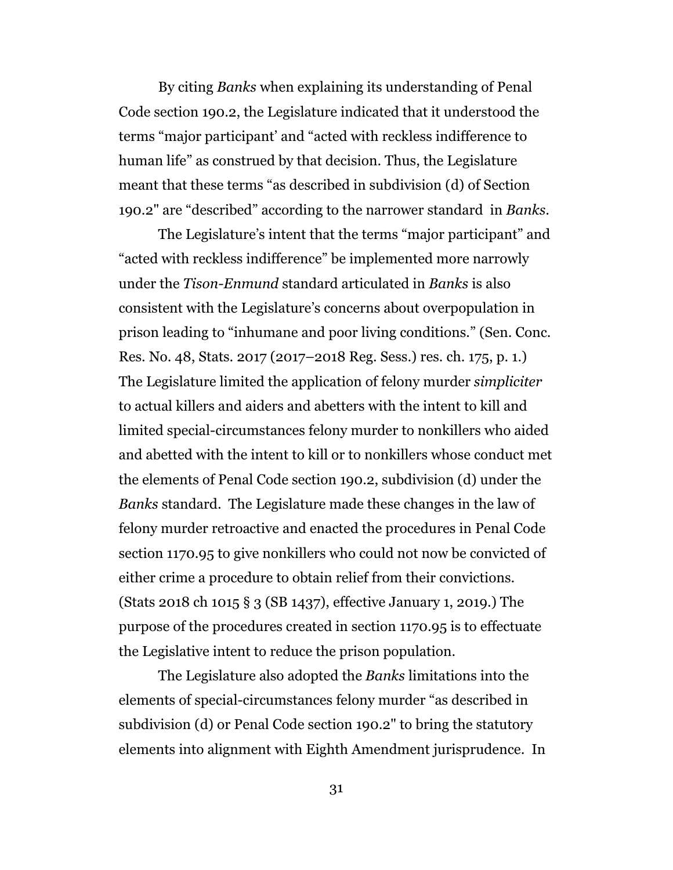By citing *Banks* when explaining its understanding of Penal Code section 190.2, the Legislature indicated that it understood the terms "major participant' and "acted with reckless indifference to human life" as construed by that decision. Thus, the Legislature meant that these terms "as described in subdivision (d) of Section 190.2" are "described" according to the narrower standard in *Banks.*

The Legislature's intent that the terms "major participant" and "acted with reckless indifference" be implemented more narrowly under the *Tison-Enmund* standard articulated in *Banks* is also consistent with the Legislature's concerns about overpopulation in prison leading to "inhumane and poor living conditions." (Sen. Conc. Res. No. 48, Stats. 2017 (2017–2018 Reg. Sess.) res. ch. 175, p. 1.) The Legislature limited the application of felony murder *simpliciter* to actual killers and aiders and abetters with the intent to kill and limited special-circumstances felony murder to nonkillers who aided and abetted with the intent to kill or to nonkillers whose conduct met the elements of Penal Code section 190.2, subdivision (d) under the *Banks* standard. The Legislature made these changes in the law of felony murder retroactive and enacted the procedures in Penal Code section 1170.95 to give nonkillers who could not now be convicted of either crime a procedure to obtain relief from their convictions. (Stats 2018 ch 1015 § 3 (SB 1437), effective January 1, 2019.) The purpose of the procedures created in section 1170.95 is to effectuate the Legislative intent to reduce the prison population.

The Legislature also adopted the *Banks* limitations into the elements of special-circumstances felony murder "as described in subdivision (d) or Penal Code section 190.2" to bring the statutory elements into alignment with Eighth Amendment jurisprudence. In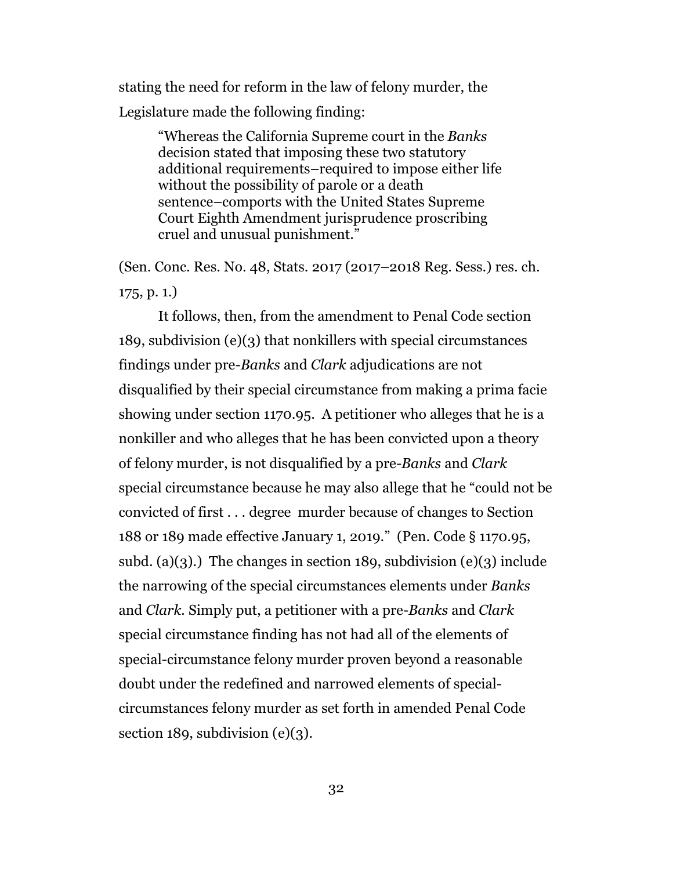stating the need for reform in the law of felony murder, the Legislature made the following finding:

> "Whereas the California Supreme court in the *Banks* decision stated that imposing these two statutory additional requirements–required to impose either life without the possibility of parole or a death sentence–comports with the United States Supreme Court Eighth Amendment jurisprudence proscribing cruel and unusual punishment."

(Sen. Conc. Res. No. 48, Stats. 2017 (2017–2018 Reg. Sess.) res. ch. 175, p. 1.)

It follows, then, from the amendment to Penal Code section 189, subdivision (e)(3) that nonkillers with special circumstances findings under pre*-Banks* and *Clark* adjudications are not disqualified by their special circumstance from making a prima facie showing under section 1170.95. A petitioner who alleges that he is a nonkiller and who alleges that he has been convicted upon a theory of felony murder, is not disqualified by a pre*-Banks* and *Clark* special circumstance because he may also allege that he "could not be convicted of first . . . degree murder because of changes to Section 188 or 189 made effective January 1, 2019." (Pen. Code § 1170.95, subd. (a)(3).) The changes in section 189, subdivision (e)(3) include the narrowing of the special circumstances elements under *Banks* and *Clark.* Simply put, a petitioner with a pre-*Banks* and *Clark* special circumstance finding has not had all of the elements of special-circumstance felony murder proven beyond a reasonable doubt under the redefined and narrowed elements of specialcircumstances felony murder as set forth in amended Penal Code section 189, subdivision  $(e)(3)$ .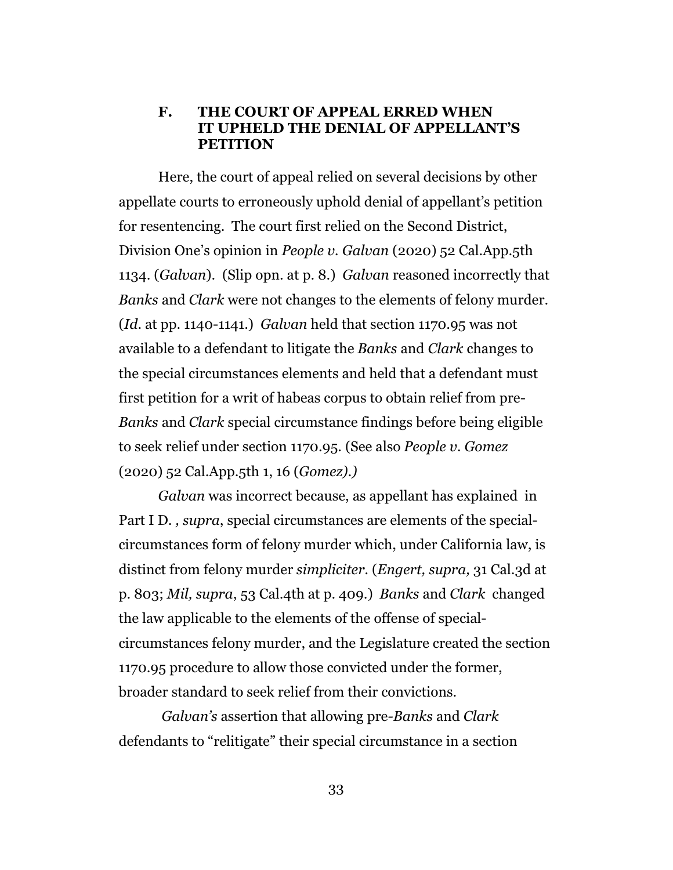#### **F. THE COURT OF APPEAL ERRED WHEN IT UPHELD THE DENIAL OF APPELLANT'S PETITION**

Here, the court of appeal relied on several decisions by other appellate courts to erroneously uphold denial of appellant's petition for resentencing. The court first relied on the Second District, Division One's opinion in *People v. Galvan* (2020) 52 Cal.App.5th 1134. (*Galvan*). (Slip opn. at p. 8.) *Galvan* reasoned incorrectly that *Banks* and *Clark* were not changes to the elements of felony murder. (*Id*. at pp. 1140-1141.) *Galvan* held that section 1170.95 was not available to a defendant to litigate the *Banks* and *Clark* changes to the special circumstances elements and held that a defendant must first petition for a writ of habeas corpus to obtain relief from pre-*Banks* and *Clark* special circumstance findings before being eligible to seek relief under section 1170.95. (See also *People v. Gomez* (2020) 52 Cal.App.5th 1, 16 (*Gomez).)*

*Galvan* was incorrect because, as appellant has explained in Part I D. *, supra*, special circumstances are elements of the specialcircumstances form of felony murder which, under California law, is distinct from felony murder *simpliciter.* (*Engert, supra,* 31 Cal.3d at p. 803; *Mil, supra*, 53 Cal.4th at p. 409.) *Banks* and *Clark* changed the law applicable to the elements of the offense of specialcircumstances felony murder, and the Legislature created the section 1170.95 procedure to allow those convicted under the former, broader standard to seek relief from their convictions.

*Galvan's* assertion that allowing pre*-Banks* and *Clark* defendants to "relitigate" their special circumstance in a section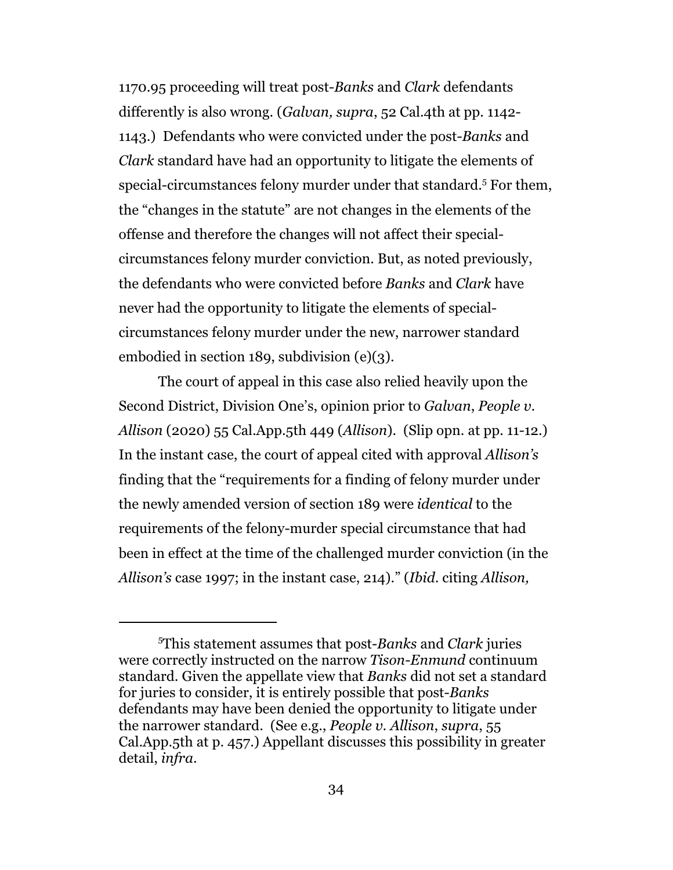1170.95 proceeding will treat post-*Banks* and *Clark* defendants differently is also wrong. (*Galvan, supra*, 52 Cal.4th at pp. 1142- 1143.) Defendants who were convicted under the post-*Banks* and *Clark* standard have had an opportunity to litigate the elements of special-circumstances felony murder under that standard.<sup>5</sup> For them, the "changes in the statute" are not changes in the elements of the offense and therefore the changes will not affect their specialcircumstances felony murder conviction. But, as noted previously, the defendants who were convicted before *Banks* and *Clark* have never had the opportunity to litigate the elements of specialcircumstances felony murder under the new, narrower standard embodied in section 189, subdivision (e)(3).

The court of appeal in this case also relied heavily upon the Second District, Division One's, opinion prior to *Galvan*, *People v. Allison* (2020) 55 Cal.App.5th 449 (*Allison*). (Slip opn. at pp. 11-12.) In the instant case, the court of appeal cited with approval *Allison's* finding that the "requirements for a finding of felony murder under the newly amended version of section 189 were *identical* to the requirements of the felony-murder special circumstance that had been in effect at the time of the challenged murder conviction (in the *Allison's* case 1997; in the instant case, 214)." (*Ibid*. citing *Allison,*

<sup>5</sup>This statement assumes that post-*Banks* and *Clark* juries were correctly instructed on the narrow *Tison*-*Enmund* continuum standard. Given the appellate view that *Banks* did not set a standard for juries to consider, it is entirely possible that post-*Banks* defendants may have been denied the opportunity to litigate under the narrower standard. (See e.g., *People v. Allison*, *supra*, 55 Cal.App.5th at p. 457.) Appellant discusses this possibility in greater detail, *infra*.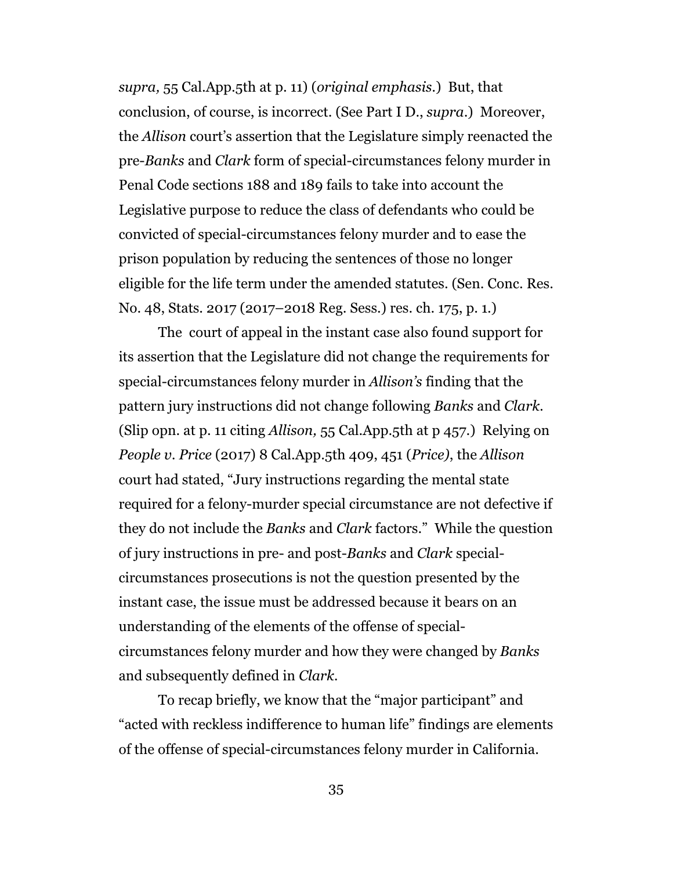*supra,* 55 Cal.App.5th at p. 11) (*original emphasis.*) But, that conclusion, of course, is incorrect. (See Part I D., *supra*.) Moreover, the *Allison* court's assertion that the Legislature simply reenacted the pre-*Banks* and *Clark* form of special-circumstances felony murder in Penal Code sections 188 and 189 fails to take into account the Legislative purpose to reduce the class of defendants who could be convicted of special-circumstances felony murder and to ease the prison population by reducing the sentences of those no longer eligible for the life term under the amended statutes. (Sen. Conc. Res. No. 48, Stats. 2017 (2017–2018 Reg. Sess.) res. ch. 175, p. 1.)

The court of appeal in the instant case also found support for its assertion that the Legislature did not change the requirements for special-circumstances felony murder in *Allison's* finding that the pattern jury instructions did not change following *Banks* and *Clark.* (Slip opn. at p. 11 citing *Allison,* 55 Cal.App.5th at p 457.) Relying on *People v. Price* (2017) 8 Cal.App.5th 409, 451 (*Price)*, the *Allison* court had stated, "Jury instructions regarding the mental state required for a felony-murder special circumstance are not defective if they do not include the *Banks* and *Clark* factors." While the question of jury instructions in pre- and post-*Banks* and *Clark* specialcircumstances prosecutions is not the question presented by the instant case, the issue must be addressed because it bears on an understanding of the elements of the offense of specialcircumstances felony murder and how they were changed by *Banks* and subsequently defined in *Clark.* 

To recap briefly, we know that the "major participant" and "acted with reckless indifference to human life" findings are elements of the offense of special-circumstances felony murder in California.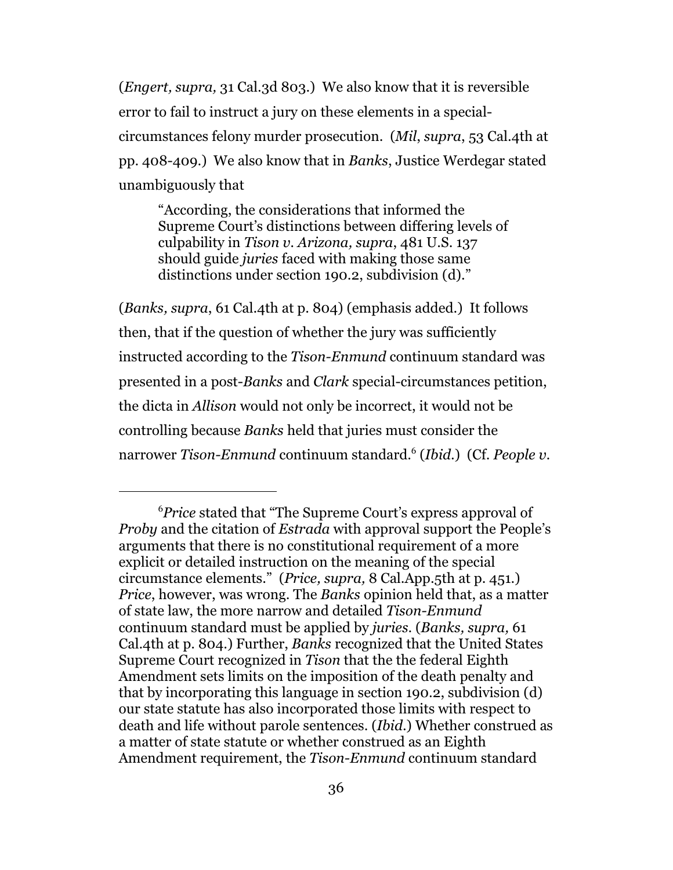(*Engert, supra,* 31 Cal.3d 803.) We also know that it is reversible error to fail to instruct a jury on these elements in a specialcircumstances felony murder prosecution. (*Mil*, *supra*, 53 Cal.4th at pp. 408-409.) We also know that in *Banks*, Justice Werdegar stated unambiguously that

"According, the considerations that informed the Supreme Court's distinctions between differing levels of culpability in *Tison v. Arizona, supra*, 481 U.S. 137 should guide *juries* faced with making those same distinctions under section 190.2, subdivision (d)."

(*Banks, supra*, 61 Cal.4th at p. 804) (emphasis added.) It follows then, that if the question of whether the jury was sufficiently instructed according to the *Tison-Enmund* continuum standard was presented in a post-*Banks* and *Clark* special-circumstances petition, the dicta in *Allison* would not only be incorrect, it would not be controlling because *Banks* held that juries must consider the narrower *Tison-Enmund* continuum standard.<sup>6</sup> (*Ibid*.) (Cf. *People v.*

<sup>6</sup>*Price* stated that "The Supreme Court's express approval of *Proby* and the citation of *Estrada* with approval support the People's arguments that there is no constitutional requirement of a more explicit or detailed instruction on the meaning of the special circumstance elements." (*Price, supra,* 8 Cal.App.5th at p. 451.) *Price*, however, was wrong. The *Banks* opinion held that, as a matter of state law, the more narrow and detailed *Tison-Enmund* continuum standard must be applied by *juries*. (*Banks, supra,* 61 Cal.4th at p. 804.) Further, *Banks* recognized that the United States Supreme Court recognized in *Tison* that the the federal Eighth Amendment sets limits on the imposition of the death penalty and that by incorporating this language in section 190.2, subdivision (d) our state statute has also incorporated those limits with respect to death and life without parole sentences. (*Ibid*.) Whether construed as a matter of state statute or whether construed as an Eighth Amendment requirement, the *Tison-Enmund* continuum standard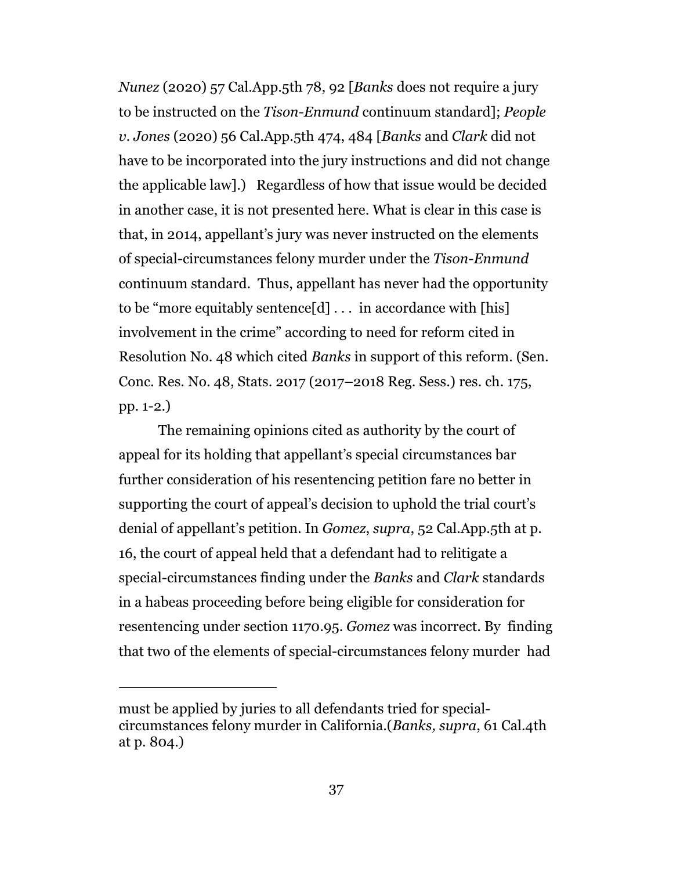*Nunez* (2020) 57 Cal.App.5th 78, 92 [*Banks* does not require a jury to be instructed on the *Tison-Enmund* continuum standard]; *People v. Jones* (2020) 56 Cal.App.5th 474, 484 [*Banks* and *Clark* did not have to be incorporated into the jury instructions and did not change the applicable law].) Regardless of how that issue would be decided in another case, it is not presented here. What is clear in this case is that, in 2014, appellant's jury was never instructed on the elements of special-circumstances felony murder under the *Tison-Enmund* continuum standard. Thus, appellant has never had the opportunity to be "more equitably sentence $[d] \ldots$  in accordance with [his] involvement in the crime" according to need for reform cited in Resolution No. 48 which cited *Banks* in support of this reform. (Sen. Conc. Res. No. 48, Stats. 2017 (2017–2018 Reg. Sess.) res. ch. 175, pp. 1-2.)

The remaining opinions cited as authority by the court of appeal for its holding that appellant's special circumstances bar further consideration of his resentencing petition fare no better in supporting the court of appeal's decision to uphold the trial court's denial of appellant's petition. In *Gomez*, *supra*, 52 Cal.App.5th at p. 16, the court of appeal held that a defendant had to relitigate a special-circumstances finding under the *Banks* and *Clark* standards in a habeas proceeding before being eligible for consideration for resentencing under section 1170.95. *Gomez* was incorrect. By finding that two of the elements of special-circumstances felony murder had

must be applied by juries to all defendants tried for specialcircumstances felony murder in California.(*Banks, supra*, 61 Cal.4th at p. 804.)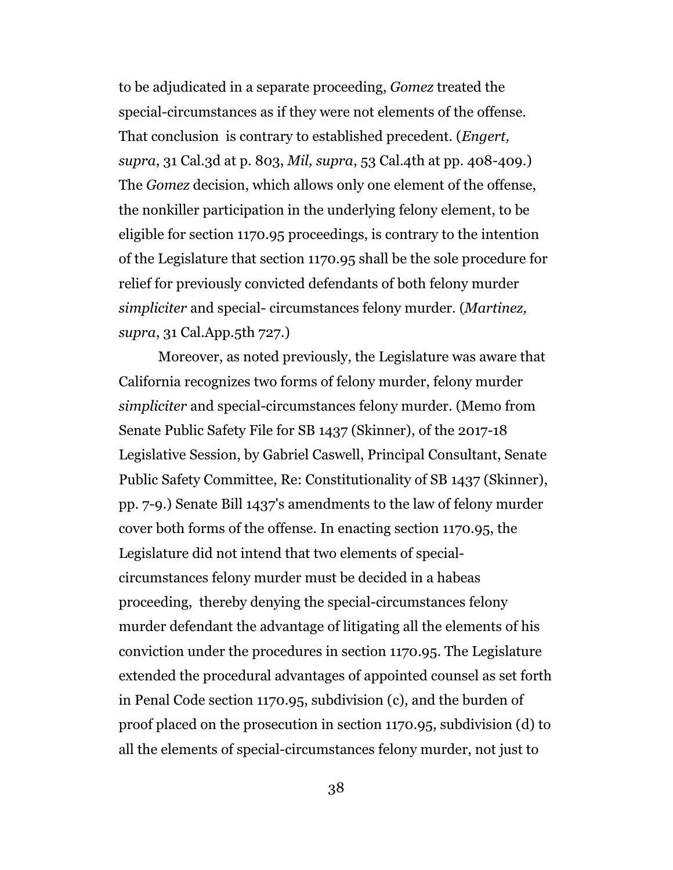to be adjudicated in a separate proceeding, *Gomez* treated the special-circumstances as if they were not elements of the offense. That conclusion is contrary to established precedent. (*Engert, supra*, 31 Cal.3d at p. 803, *Mil, supra*, 53 Cal.4th at pp. 408-409.) The *Gomez* decision, which allows only one element of the offense, the nonkiller participation in the underlying felony element, to be eligible for section 1170.95 proceedings, is contrary to the intention of the Legislature that section 1170.95 shall be the sole procedure for relief for previously convicted defendants of both felony murder *simpliciter* and special- circumstances felony murder. (*Martinez, supra*, 31 Cal.App.5th 727.)

Moreover, as noted previously, the Legislature was aware that California recognizes two forms of felony murder, felony murder *simpliciter* and special-circumstances felony murder. (Memo from Senate Public Safety File for SB 1437 (Skinner), of the 2017-18 Legislative Session, by Gabriel Caswell, Principal Consultant, Senate Public Safety Committee, Re: Constitutionality of SB 1437 (Skinner), pp. 7-9.) Senate Bill 1437's amendments to the law of felony murder cover both forms of the offense. In enacting section 1170.95, the Legislature did not intend that two elements of specialcircumstances felony murder must be decided in a habeas proceeding, thereby denying the special-circumstances felony murder defendant the advantage of litigating all the elements of his conviction under the procedures in section 1170.95. The Legislature extended the procedural advantages of appointed counsel as set forth in Penal Code section 1170.95, subdivision (c), and the burden of proof placed on the prosecution in section 1170.95, subdivision (d) to all the elements of special-circumstances felony murder, not just to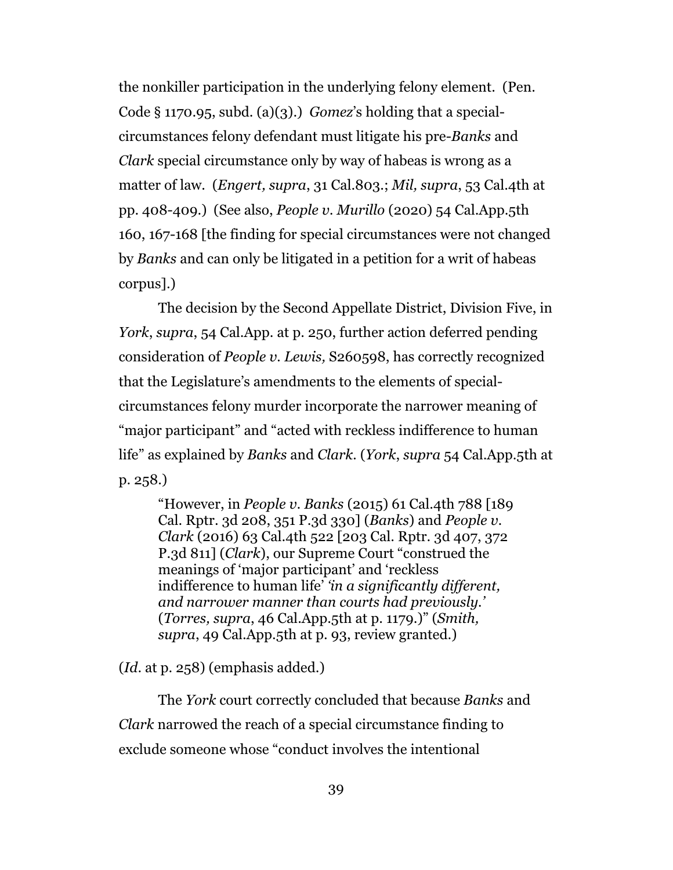the nonkiller participation in the underlying felony element. (Pen. Code § 1170.95, subd. (a)(3).) *Gomez*'s holding that a specialcircumstances felony defendant must litigate his pre-*Banks* and *Clark* special circumstance only by way of habeas is wrong as a matter of law. (*Engert, supra*, 31 Cal.803.; *Mil, supra*, 53 Cal.4th at pp. 408-409.) (See also, *People v. Murillo* (2020) 54 Cal.App.5th 160, 167-168 [the finding for special circumstances were not changed by *Banks* and can only be litigated in a petition for a writ of habeas corpus].)

The decision by the Second Appellate District, Division Five, in *York*, *supra*, 54 Cal.App. at p. 250, further action deferred pending consideration of *People v. Lewis,* S260598, has correctly recognized that the Legislature's amendments to the elements of specialcircumstances felony murder incorporate the narrower meaning of "major participant" and "acted with reckless indifference to human life" as explained by *Banks* and *Clark.* (*York*, *supra* 54 Cal.App.5th at p. 258.)

"However, in *People v. Banks* (2015) 61 Cal.4th 788 [189 Cal. Rptr. 3d 208, 351 P.3d 330] (*Banks*) and *People v. Clark* (2016) 63 Cal.4th 522 [203 Cal. Rptr. 3d 407, 372 P.3d 811] (*Clark*), our Supreme Court "construed the meanings of 'major participant' and 'reckless indifference to human life' *'in a significantly different, and narrower manner than courts had previously.'* (*Torres, supra*, 46 Cal.App.5th at p. 1179.)" (*Smith, supra*, 49 Cal.App.5th at p. 93, review granted.)

(*Id*. at p. 258) (emphasis added.)

The *York* court correctly concluded that because *Banks* and *Clark* narrowed the reach of a special circumstance finding to exclude someone whose "conduct involves the intentional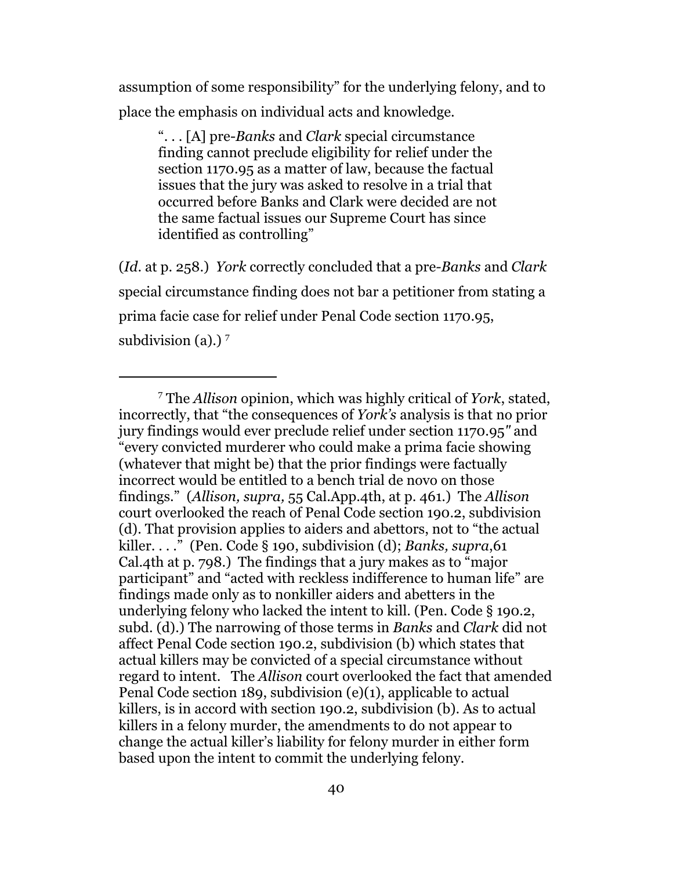assumption of some responsibility" for the underlying felony, and to place the emphasis on individual acts and knowledge.

". . . [A] pre-*Banks* and *Clark* special circumstance finding cannot preclude eligibility for relief under the section 1170.95 as a matter of law, because the factual issues that the jury was asked to resolve in a trial that occurred before Banks and Clark were decided are not the same factual issues our Supreme Court has since identified as controlling"

(*Id*. at p. 258.) *York* correctly concluded that a pre*-Banks* and *Clark* special circumstance finding does not bar a petitioner from stating a prima facie case for relief under Penal Code section 1170.95, subdivision (a).)<sup>7</sup>

<sup>7</sup> The *Allison* opinion, which was highly critical of *York*, stated, incorrectly, that "the consequences of *York's* analysis is that no prior jury findings would ever preclude relief under section 1170.95*"* and "every convicted murderer who could make a prima facie showing (whatever that might be) that the prior findings were factually incorrect would be entitled to a bench trial de novo on those findings." (*Allison, supra,* 55 Cal.App.4th, at p. 461.) The *Allison* court overlooked the reach of Penal Code section 190.2, subdivision (d). That provision applies to aiders and abettors, not to "the actual killer. . . ." (Pen. Code § 190, subdivision (d); *Banks, supra*,61 Cal.4th at p. 798.) The findings that a jury makes as to "major participant" and "acted with reckless indifference to human life" are findings made only as to nonkiller aiders and abetters in the underlying felony who lacked the intent to kill. (Pen. Code § 190.2, subd. (d).) The narrowing of those terms in *Banks* and *Clark* did not affect Penal Code section 190.2, subdivision (b) which states that actual killers may be convicted of a special circumstance without regard to intent. The *Allison* court overlooked the fact that amended Penal Code section 189, subdivision (e)(1), applicable to actual killers, is in accord with section 190.2, subdivision (b). As to actual killers in a felony murder, the amendments to do not appear to change the actual killer's liability for felony murder in either form based upon the intent to commit the underlying felony.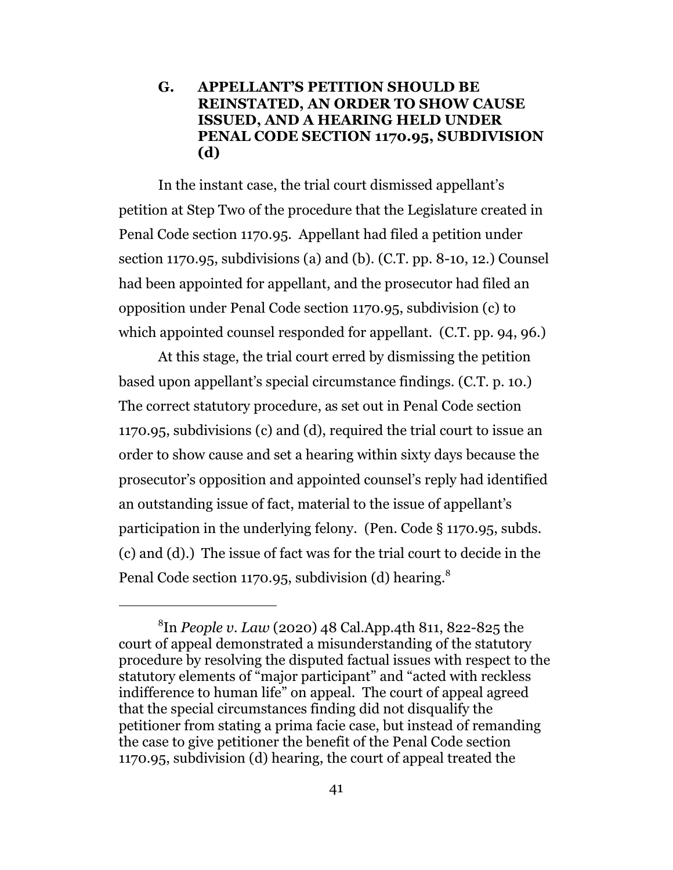### **G. APPELLANT'S PETITION SHOULD BE REINSTATED, AN ORDER TO SHOW CAUSE ISSUED, AND A HEARING HELD UNDER PENAL CODE SECTION 1170.95, SUBDIVISION (d)**

In the instant case, the trial court dismissed appellant's petition at Step Two of the procedure that the Legislature created in Penal Code section 1170.95. Appellant had filed a petition under section 1170.95, subdivisions (a) and (b). (C.T. pp. 8-10, 12.) Counsel had been appointed for appellant, and the prosecutor had filed an opposition under Penal Code section 1170.95, subdivision (c) to which appointed counsel responded for appellant. (C.T. pp. 94, 96.)

At this stage, the trial court erred by dismissing the petition based upon appellant's special circumstance findings. (C.T. p. 10.) The correct statutory procedure, as set out in Penal Code section 1170.95, subdivisions (c) and (d), required the trial court to issue an order to show cause and set a hearing within sixty days because the prosecutor's opposition and appointed counsel's reply had identified an outstanding issue of fact, material to the issue of appellant's participation in the underlying felony. (Pen. Code § 1170.95, subds. (c) and (d).) The issue of fact was for the trial court to decide in the Penal Code section 1170.95, subdivision (d) hearing.<sup>8</sup>

<sup>8</sup> In *People v. Law* (2020) 48 Cal.App.4th 811, 822-825 the court of appeal demonstrated a misunderstanding of the statutory procedure by resolving the disputed factual issues with respect to the statutory elements of "major participant" and "acted with reckless indifference to human life" on appeal. The court of appeal agreed that the special circumstances finding did not disqualify the petitioner from stating a prima facie case, but instead of remanding the case to give petitioner the benefit of the Penal Code section 1170.95, subdivision (d) hearing, the court of appeal treated the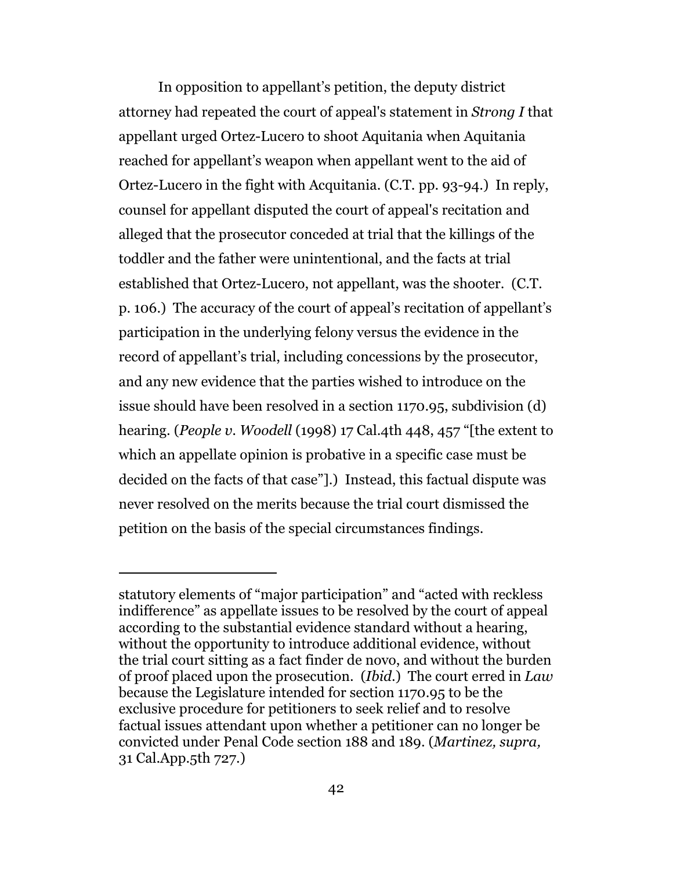In opposition to appellant's petition, the deputy district attorney had repeated the court of appeal's statement in *Strong I* that appellant urged Ortez-Lucero to shoot Aquitania when Aquitania reached for appellant's weapon when appellant went to the aid of Ortez-Lucero in the fight with Acquitania. (C.T. pp. 93-94.) In reply, counsel for appellant disputed the court of appeal's recitation and alleged that the prosecutor conceded at trial that the killings of the toddler and the father were unintentional, and the facts at trial established that Ortez-Lucero, not appellant, was the shooter. (C.T. p. 106.) The accuracy of the court of appeal's recitation of appellant's participation in the underlying felony versus the evidence in the record of appellant's trial, including concessions by the prosecutor, and any new evidence that the parties wished to introduce on the issue should have been resolved in a section 1170.95, subdivision (d) hearing. (*People v. Woodell* (1998) 17 Cal.4th 448, 457 "[the extent to which an appellate opinion is probative in a specific case must be decided on the facts of that case"].) Instead, this factual dispute was never resolved on the merits because the trial court dismissed the petition on the basis of the special circumstances findings.

statutory elements of "major participation" and "acted with reckless indifference" as appellate issues to be resolved by the court of appeal according to the substantial evidence standard without a hearing, without the opportunity to introduce additional evidence, without the trial court sitting as a fact finder de novo, and without the burden of proof placed upon the prosecution. (*Ibid*.) The court erred in *Law* because the Legislature intended for section 1170.95 to be the exclusive procedure for petitioners to seek relief and to resolve factual issues attendant upon whether a petitioner can no longer be convicted under Penal Code section 188 and 189. (*Martinez, supra,* 31 Cal.App.5th 727.)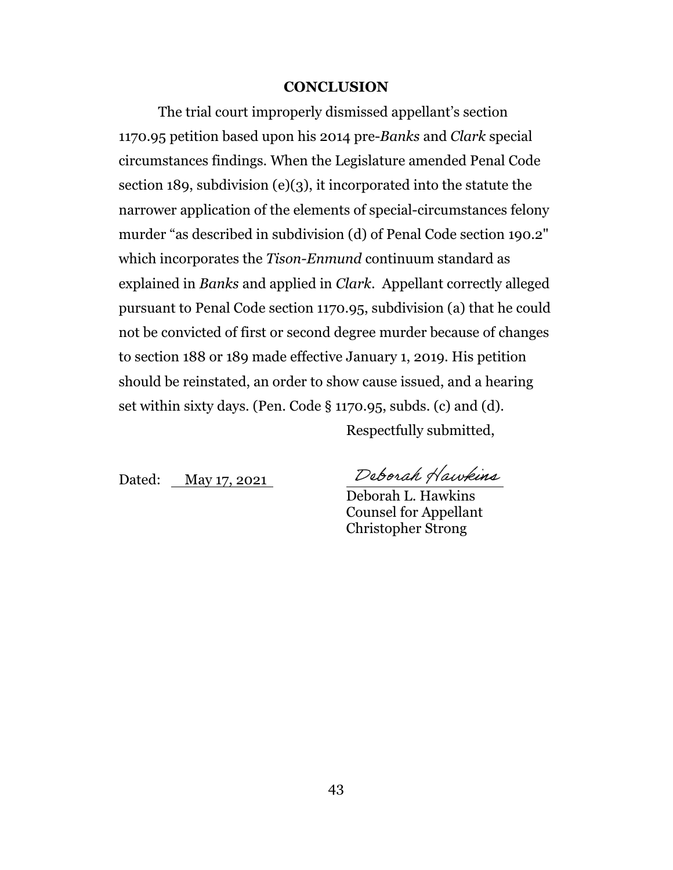#### **CONCLUSION**

The trial court improperly dismissed appellant's section 1170.95 petition based upon his 2014 pre-*Banks* and *Clark* special circumstances findings. When the Legislature amended Penal Code section 189, subdivision (e)(3), it incorporated into the statute the narrower application of the elements of special-circumstances felony murder "as described in subdivision (d) of Penal Code section 190.2" which incorporates the *Tison-Enmund* continuum standard as explained in *Banks* and applied in *Clark*. Appellant correctly alleged pursuant to Penal Code section 1170.95, subdivision (a) that he could not be convicted of first or second degree murder because of changes to section 188 or 189 made effective January 1, 2019. His petition should be reinstated, an order to show cause issued, and a hearing set within sixty days. (Pen. Code § 1170.95, subds. (c) and (d). Respectfully submitted,

Dated: May 17, 2021

Deborah Hawkins

Deborah L. Hawkins Counsel for Appellant Christopher Strong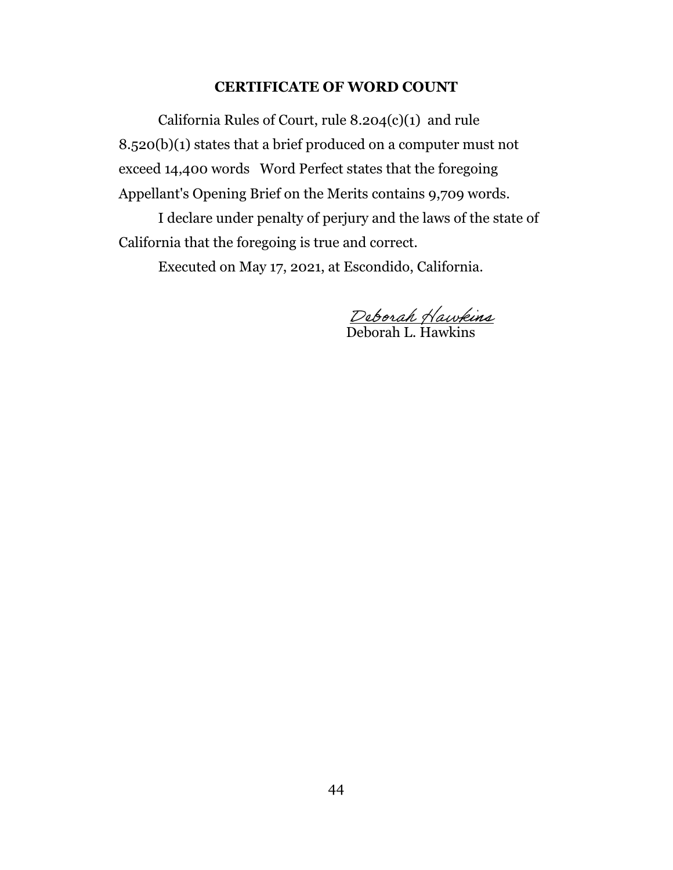#### **CERTIFICATE OF WORD COUNT**

California Rules of Court, rule 8.204(c)(1) and rule 8.520(b)(1) states that a brief produced on a computer must not exceed 14,400 words Word Perfect states that the foregoing Appellant's Opening Brief on the Merits contains 9,709 words.

I declare under penalty of perjury and the laws of the state of California that the foregoing is true and correct.

Executed on May 17, 2021, at Escondido, California.

Deborah L. Hawkins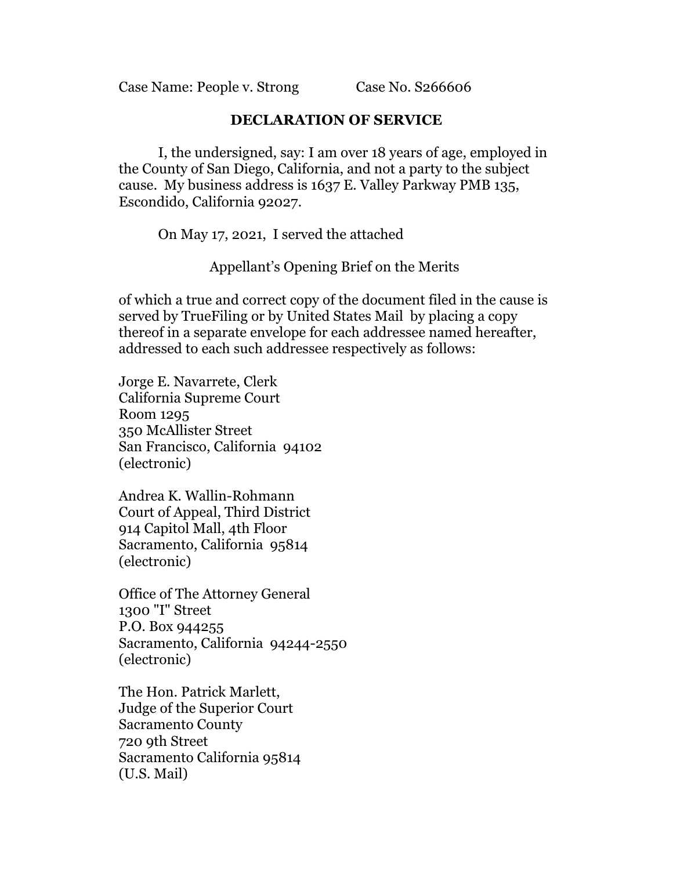Case Name: People v. Strong Case No. S266606

#### **DECLARATION OF SERVICE**

I, the undersigned, say: I am over 18 years of age, employed in the County of San Diego, California, and not a party to the subject cause. My business address is 1637 E. Valley Parkway PMB 135, Escondido, California 92027.

On May 17, 2021, I served the attached

Appellant's Opening Brief on the Merits

of which a true and correct copy of the document filed in the cause is served by TrueFiling or by United States Mail by placing a copy thereof in a separate envelope for each addressee named hereafter, addressed to each such addressee respectively as follows:

Jorge E. Navarrete, Clerk California Supreme Court Room 1295 350 McAllister Street San Francisco, California 94102 (electronic)

Andrea K. Wallin-Rohmann Court of Appeal, Third District 914 Capitol Mall, 4th Floor Sacramento, California 95814 (electronic)

Office of The Attorney General 1300 "I" Street P.O. Box 944255 Sacramento, California 94244-2550 (electronic)

The Hon. Patrick Marlett, Judge of the Superior Court Sacramento County 720 9th Street Sacramento California 95814 (U.S. Mail)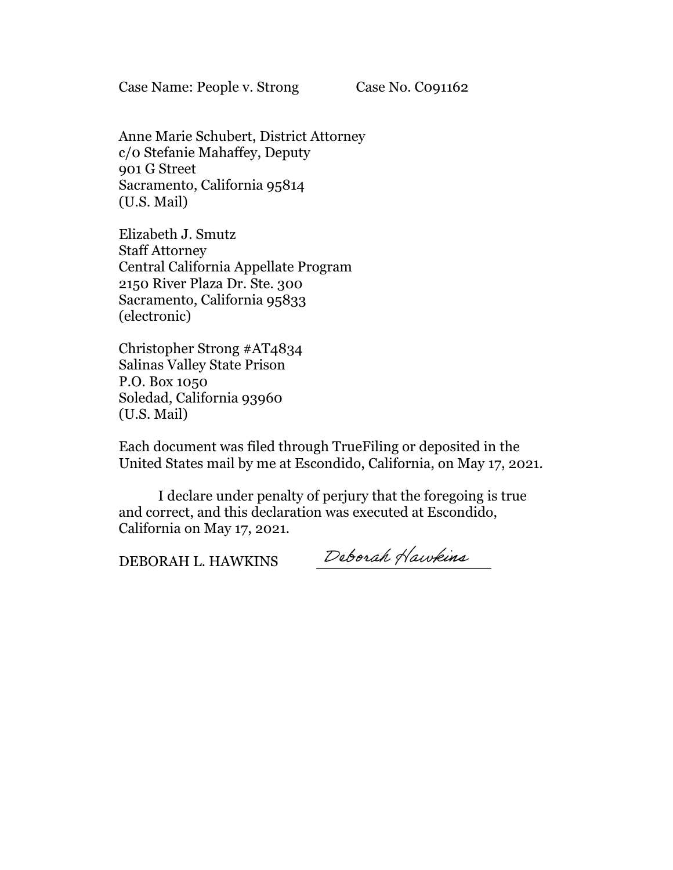Case Name: People v. Strong Case No. Co91162

Anne Marie Schubert, District Attorney c/0 Stefanie Mahaffey, Deputy 901 G Street Sacramento, California 95814 (U.S. Mail)

Elizabeth J. Smutz Staff Attorney Central California Appellate Program 2150 River Plaza Dr. Ste. 300 Sacramento, California 95833 (electronic)

Christopher Strong #AT4834 Salinas Valley State Prison P.O. Box 1050 Soledad, California 93960 (U.S. Mail)

Each document was filed through TrueFiling or deposited in the United States mail by me at Escondido, California, on May 17, 2021.

I declare under penalty of perjury that the foregoing is true and correct, and this declaration was executed at Escondido, California on May 17, 2021.

DEBORAH L. HAWKINS

Deborah Hawkins